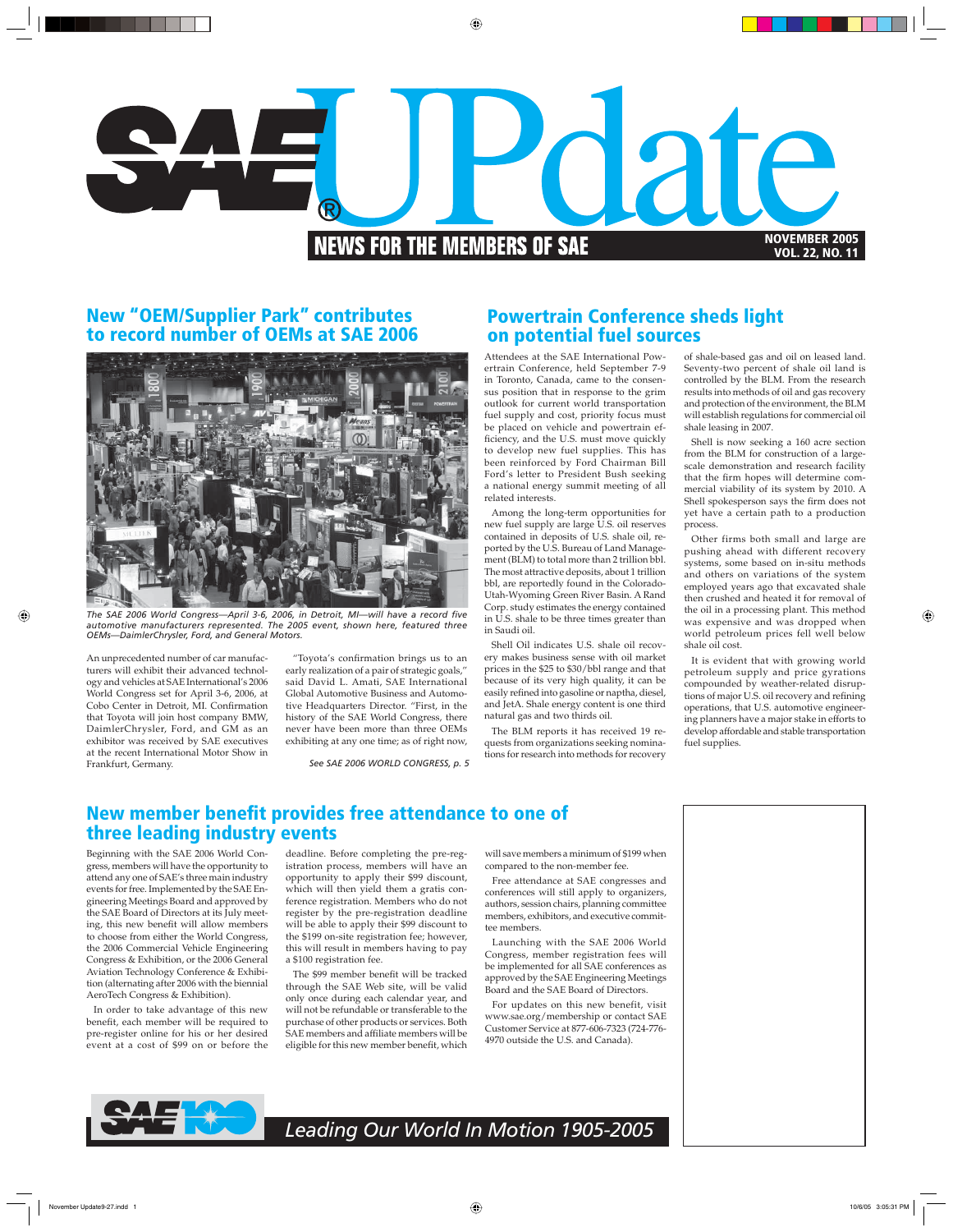

## **New "OEM/Supplier Park" contributes to record number of OEMs at SAE 2006**



The SAE 2006 World Congress—April 3-6, 2006, in Detroit, MI—will have a record five *automotive manufacturers represented. The 2005 event, shown here, featured three OEMs—DaimlerChrysler, Ford, and General Motors.* 

An unprecedented number of car manufacturers will exhibit their advanced technology and vehicles at SAE International's 2006 World Congress set for April 3-6, 2006, at Cobo Center in Detroit, MI. Confirmation that Toyota will join host company BMW, DaimlerChrysler, Ford, and GM as an exhibitor was received by SAE executives at the recent International Motor Show in Frankfurt, Germany.

"Toyota's confirmation brings us to an early realization of a pair of strategic goals," said David L. Amati, SAE International Global Automotive Business and Automotive Headquarters Director. "First, in the history of the SAE World Congress, there never have been more than three OEMs exhibiting at any one time; as of right now,

*See SAE 2006 WORLD CONGRESS, p. 5* 

# **Powertrain Conference sheds light on potential fuel sources**

Attendees at the SAE International Powertrain Conference, held September 7-9 in Toronto, Canada, came to the consensus position that in response to the grim outlook for current world transportation fuel supply and cost, priority focus must be placed on vehicle and powertrain efficiency, and the U.S. must move quickly to develop new fuel supplies. This has been reinforced by Ford Chairman Bill Ford's letter to President Bush seeking a national energy summit meeting of all related interests.

Among the long-term opportunities for new fuel supply are large U.S. oil reserves contained in deposits of U.S. shale oil, reported by the U.S. Bureau of Land Management (BLM) to total more than 2 trillion bbl. The most attractive deposits, about 1 trillion bbl, are reportedly found in the Colorado-Utah-Wyoming Green River Basin. A Rand Corp. study estimates the energy contained in U.S. shale to be three times greater than in Saudi oil.

Shell Oil indicates U.S. shale oil recovery makes business sense with oil market prices in the \$25 to \$30/bbl range and that because of its very high quality, it can be easily refined into gasoline or naptha, diesel, and JetA. Shale energy content is one third natural gas and two thirds oil.

The BLM reports it has received 19 requests from organizations seeking nominations for research into methods for recovery

of shale-based gas and oil on leased land. Seventy-two percent of shale oil land is controlled by the BLM. From the research results into methods of oil and gas recovery and protection of the environment, the BLM will establish regulations for commercial oil shale leasing in 2007.

Shell is now seeking a 160 acre section from the BLM for construction of a largescale demonstration and research facility that the firm hopes will determine commercial viability of its system by 2010. A Shell spokesperson says the firm does not yet have a certain path to a production process.

Other firms both small and large are pushing ahead with different recovery systems, some based on in-situ methods and others on variations of the system employed years ago that excavated shale then crushed and heated it for removal of the oil in a processing plant. This method was expensive and was dropped when world petroleum prices fell well below shale oil cost.

It is evident that with growing world petroleum supply and price gyrations compounded by weather-related disruptions of major U.S. oil recovery and refining operations, that U.S. automotive engineering planners have a major stake in efforts to develop affordable and stable transportation fuel supplies.

# **New member benefit provides free attendance to one of three leading industry events**

Beginning with the SAE 2006 World Congress, members will have the opportunity to attend any one of SAE's three main industry events for free. Implemented by the SAE Engineering Meetings Board and approved by the SAE Board of Directors at its July meeting, this new benefit will allow members to choose from either the World Congress, the 2006 Commercial Vehicle Engineering Congress & Exhibition, or the 2006 General Aviation Technology Conference & Exhibition (alternating after 2006 with the biennial AeroTech Congress & Exhibition).

In order to take advantage of this new benefit, each member will be required to pre-register online for his or her desired event at a cost of \$99 on or before the

deadline. Before completing the pre-registration process, members will have an opportunity to apply their \$99 discount, which will then yield them a gratis conference registration. Members who do not register by the pre-registration deadline will be able to apply their \$99 discount to the \$199 on-site registration fee; however, this will result in members having to pay a \$100 registration fee.

The \$99 member benefit will be tracked through the SAE Web site, will be valid only once during each calendar year, and will not be refundable or transferable to the purchase of other products or services. Both SAE members and affiliate members will be eligible for this new member benefit, which will save members a minimum of \$199 when compared to the non-member fee.

Free attendance at SAE congresses and conferences will still apply to organizers, authors, session chairs, planning committee members, exhibitors, and executive committee members.

Launching with the SAE 2006 World Congress, member registration fees will be implemented for all SAE conferences as approved by the SAE Engineering Meetings Board and the SAE Board of Directors.

For updates on this new benefit, visit www.sae.org/membership or contact SAE Customer Service at 877-606-7323 (724-776- 4970 outside the U.S. and Canada).



*Leading Our World In Motion 1905-2005*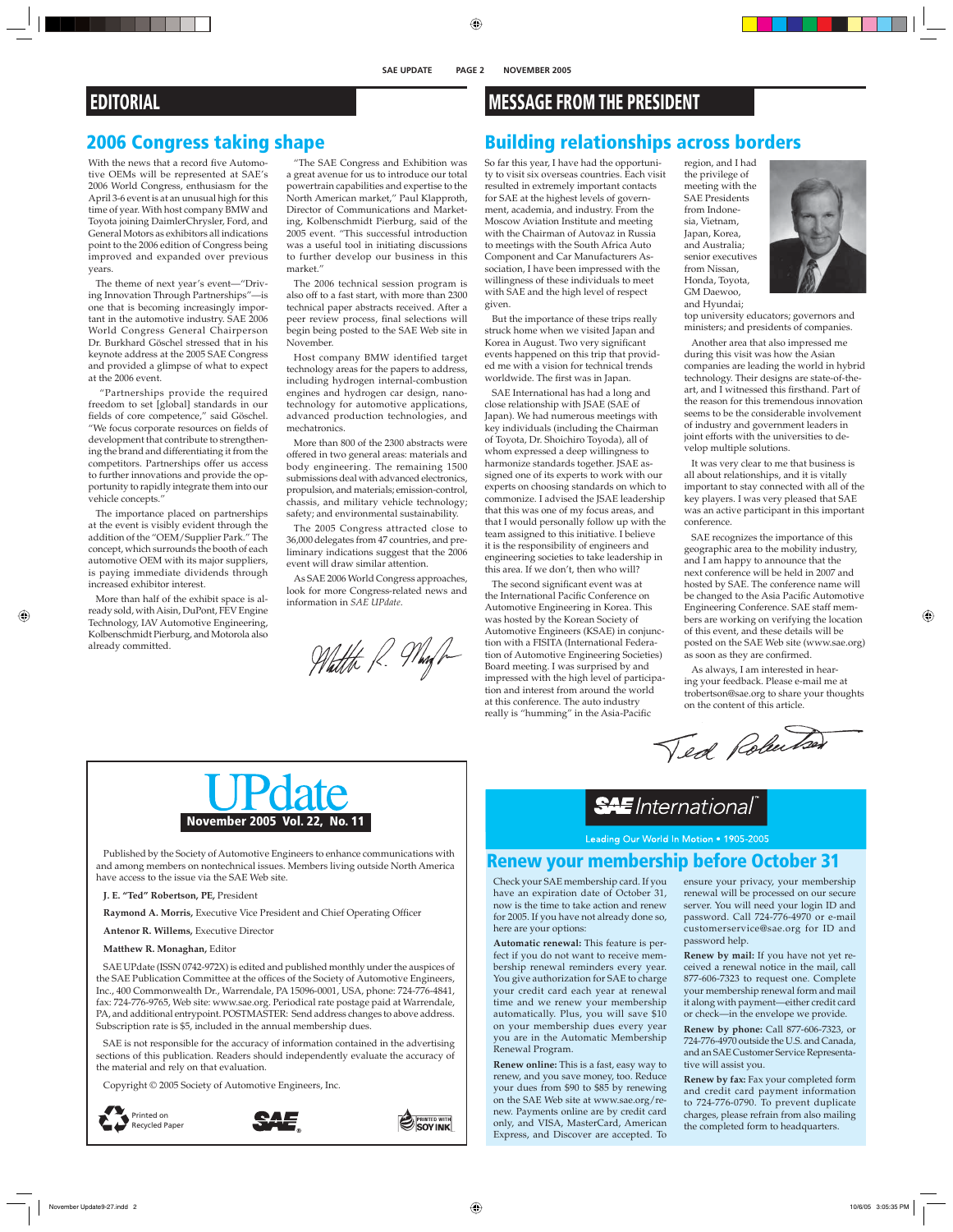#### **SAE UPDATE PAGE 2 NOVEMBER 2005**

# **EDITORIAL**

# **2006 Congress taking shape**

With the news that a record five Automotive OEMs will be represented at SAE's 2006 World Congress, enthusiasm for the April 3-6 event is at an unusual high for this time of year. With host company BMW and Toyota joining DaimlerChrysler, Ford, and General Motors as exhibitors all indications point to the 2006 edition of Congress being improved and expanded over previous years.

The theme of next year's event—"Driving Innovation Through Partnerships"—is one that is becoming increasingly important in the automotive industry. SAE 2006 World Congress General Chairperson Dr. Burkhard Göschel stressed that in his keynote address at the 2005 SAE Congress and provided a glimpse of what to expect at the 2006 event.

 "Partnerships provide the required freedom to set [global] standards in our fields of core competence," said Göschel. "We focus corporate resources on fields of development that contribute to strengthening the brand and differentiating it from the competitors. Partnerships offer us access to further innovations and provide the opportunity to rapidly integrate them into our vehicle concepts."

The importance placed on partnerships at the event is visibly evident through the addition of the "OEM/Supplier Park." The concept, which surrounds the booth of each automotive OEM with its major suppliers, is paying immediate dividends through increased exhibitor interest.

More than half of the exhibit space is already sold, with Aisin, DuPont, FEV Engine Technology, IAV Automotive Engineering, Kolbenschmidt Pierburg, and Motorola also already committed.

"The SAE Congress and Exhibition was a great avenue for us to introduce our total powertrain capabilities and expertise to the North American market," Paul Klapproth, Director of Communications and Marketing, Kolbenschmidt Pierburg, said of the 2005 event. "This successful introduction was a useful tool in initiating discussions to further develop our business in this market."

The 2006 technical session program is also off to a fast start, with more than 2300 technical paper abstracts received. After a peer review process, final selections will begin being posted to the SAE Web site in November.

Host company BMW identified target technology areas for the papers to address, including hydrogen internal-combustion engines and hydrogen car design, nanotechnology for automotive applications, advanced production technologies, and mechatronics.

More than 800 of the 2300 abstracts were offered in two general areas: materials and body engineering. The remaining 1500 submissions deal with advanced electronics, propulsion, and materials; emission-control, chassis, and military vehicle technology; safety; and environmental sustainability.

The 2005 Congress attracted close to 36,000 delegates from 47 countries, and preliminary indications suggest that the 2006 event will draw similar attention.

As SAE 2006 World Congress approaches, look for more Congress-related news and information in *SAE UPdate*.

Whatthe R. Mayh

# **MESSAGE FROM THE PRESIDENT**

## **Building relationships across borders**

So far this year, I have had the opportunity to visit six overseas countries. Each visit resulted in extremely important contacts for SAE at the highest levels of government, academia, and industry. From the Moscow Aviation Institute and meeting with the Chairman of Autovaz in Russia to meetings with the South Africa Auto Component and Car Manufacturers Association, I have been impressed with the willingness of these individuals to meet with SAE and the high level of respect given.

But the importance of these trips really struck home when we visited Japan and Korea in August. Two very significant events happened on this trip that provided me with a vision for technical trends worldwide. The first was in Japan.

SAE International has had a long and close relationship with JSAE (SAE of Japan). We had numerous meetings with key individuals (including the Chairman of Toyota, Dr. Shoichiro Toyoda), all of whom expressed a deep willingness to harmonize standards together. JSAE assigned one of its experts to work with our experts on choosing standards on which to commonize. I advised the JSAE leadership that this was one of my focus areas, and that I would personally follow up with the team assigned to this initiative. I believe it is the responsibility of engineers and engineering societies to take leadership in this area. If we don't, then who will?

The second significant event was at the International Pacific Conference on Automotive Engineering in Korea. This was hosted by the Korean Society of Automotive Engineers (KSAE) in conjunction with a FISITA (International Federation of Automotive Engineering Societies) Board meeting. I was surprised by and impressed with the high level of participation and interest from around the world at this conference. The auto industry really is "humming" in the Asia-Pacific

region, and I had the privilege of meeting with the SAE Presidents from Indonesia, Vietnam, Japan, Korea, and Australia; senior executives from Nissan, Honda, Toyota, GM Daewoo, and Hyundai;



top university educators; governors and ministers; and presidents of companies.

Another area that also impressed me during this visit was how the Asian companies are leading the world in hybrid technology. Their designs are state-of-theart, and I witnessed this firsthand. Part of the reason for this tremendous innovation seems to be the considerable involvement of industry and government leaders in joint efforts with the universities to develop multiple solutions.

It was very clear to me that business is all about relationships, and it is vitally important to stay connected with all of the key players. I was very pleased that SAE was an active participant in this important conference.

SAE recognizes the importance of this geographic area to the mobility industry, and I am happy to announce that the next conference will be held in 2007 and hosted by SAE. The conference name will be changed to the Asia Pacific Automotive Engineering Conference. SAE staff members are working on verifying the location of this event, and these details will be posted on the SAE Web site (www.sae.org) as soon as they are confirmed.

As always, I am interested in hearing your feedback. Please e-mail me at trobertson@sae.org to share your thoughts on the content of this article.

Ted Robertser



Published by the Society of Automotive Engineers to enhance communications with and among members on nontechnical issues. Members living outside North America have access to the issue via the SAE Web site.

**J. E. "Ted" Robertson, PE,** President

Raymond A. Morris, Executive Vice President and Chief Operating Officer

**Antenor R. Willems,** Executive Director

**Matthew R. Monaghan,** Editor

SAE UPdate (ISSN 0742-972X) is edited and published monthly under the auspices of the SAE Publication Committee at the offices of the Society of Automotive Engineers, Inc., 400 Commonwealth Dr., Warrendale, PA 15096-0001, USA, phone: 724-776-4841, fax: 724-776-9765, Web site: www.sae.org. Periodical rate postage paid at Warrendale, PA, and additional entrypoint. POSTMASTER: Send address changes to above address. Subscription rate is \$5, included in the annual membership dues.

SAE is not responsible for the accuracy of information contained in the advertising sections of this publication. Readers should independently evaluate the accuracy of the material and rely on that evaluation.

Copyright © 2005 Society of Automotive Engineers, Inc.







# **SAE** International

Leading Our World In Motion . 1905-2005

# **Renew your membership before October 31**

Check your SAE membership card. If you have an expiration date of October 31, now is the time to take action and renew for 2005. If you have not already done so, here are your options:

**Automatic renewal:** This feature is perfect if you do not want to receive membership renewal reminders every year. You give authorization for SAE to charge your credit card each year at renewal time and we renew your membership automatically. Plus, you will save \$10 on your membership dues every year you are in the Automatic Membership Renewal Program.

**Renew online:** This is a fast, easy way to renew, and you save money, too. Reduce your dues from \$90 to \$85 by renewing on the SAE Web site at www.sae.org/renew. Payments online are by credit card only, and VISA, MasterCard, American Express, and Discover are accepted. To

ensure your privacy, your membership renewal will be processed on our secure server. You will need your login ID and password. Call 724-776-4970 or e-mail customerservice@sae.org for ID and password help.

**Renew by mail:** If you have not yet received a renewal notice in the mail, call 877-606-7323 to request one. Complete your membership renewal form and mail it along with payment—either credit card or check—in the envelope we provide.

**Renew by phone:** Call 877-606-7323, or 724-776-4970 outside the U.S. and Canada, and an SAE Customer Service Representative will assist you.

**Renew by fax:** Fax your completed form and credit card payment information to 724-776-0790. To prevent duplicate charges, please refrain from also mailing the completed form to headquarters.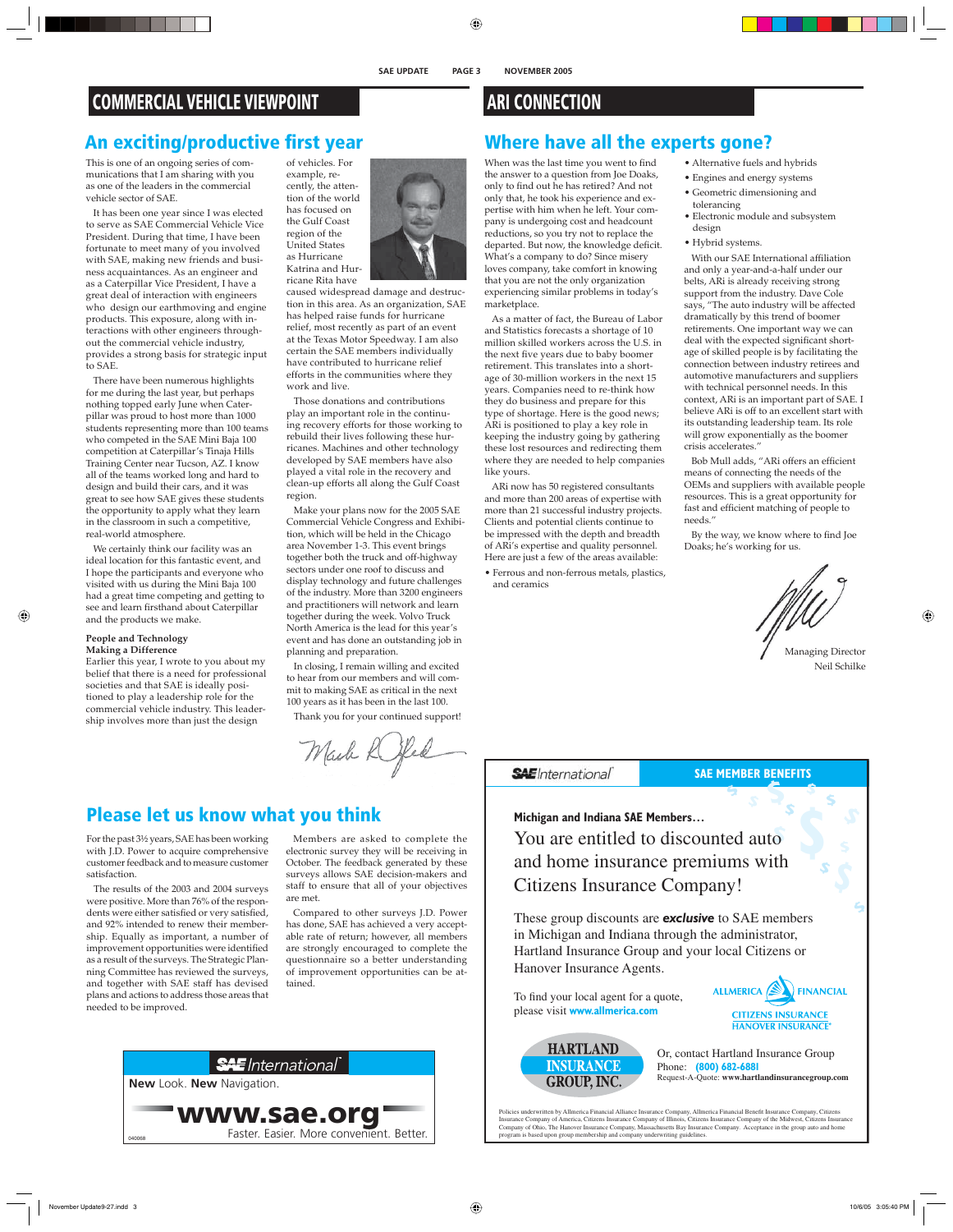# **COMMERCIAL VEHICLE VIEWPOINT**

# **An exciting/productive first year**

This is one of an ongoing series of communications that I am sharing with you as one of the leaders in the commercial vehicle sector of SAE.

It has been one year since I was elected to serve as SAE Commercial Vehicle Vice President. During that time, I have been fortunate to meet many of you involved with SAE, making new friends and business acquaintances. As an engineer and as a Caterpillar Vice President, I have a great deal of interaction with engineers who design our earthmoving and engine products. This exposure, along with interactions with other engineers throughout the commercial vehicle industry, provides a strong basis for strategic input to SAE.

There have been numerous highlights for me during the last year, but perhaps nothing topped early June when Caterpillar was proud to host more than 1000 students representing more than 100 teams who competed in the SAE Mini Baja 100 competition at Caterpillar's Tinaja Hills Training Center near Tucson, AZ. I know all of the teams worked long and hard to design and build their cars, and it was great to see how SAE gives these students the opportunity to apply what they learn in the classroom in such a competitive, real-world atmosphere.

We certainly think our facility was an ideal location for this fantastic event, and I hope the participants and everyone who visited with us during the Mini Baja 100 had a great time competing and getting to see and learn firsthand about Caterpillar and the products we make.

#### **People and Technology Making a Difference**

Earlier this year, I wrote to you about my belief that there is a need for professional societies and that SAE is ideally positioned to play a leadership role for the commercial vehicle industry. This leadership involves more than just the design

of vehicles. For example, recently, the attention of the world has focused on the Gulf Coast region of the United States as Hurricane

Katrina and Hurricane Rita have

caused widespread damage and destruction in this area. As an organization, SAE has helped raise funds for hurricane relief, most recently as part of an event at the Texas Motor Speedway. I am also certain the SAE members individually have contributed to hurricane relief efforts in the communities where they work and live.

Those donations and contributions play an important role in the continuing recovery efforts for those working to rebuild their lives following these hurricanes. Machines and other technology developed by SAE members have also played a vital role in the recovery and clean-up efforts all along the Gulf Coast region.

Make your plans now for the 2005 SAE Commercial Vehicle Congress and Exhibition, which will be held in the Chicago area November 1-3. This event brings together both the truck and off-highway sectors under one roof to discuss and display technology and future challenges of the industry. More than 3200 engineers and practitioners will network and learn together during the week. Volvo Truck North America is the lead for this year's event and has done an outstanding job in planning and preparation.

In closing, I remain willing and excited to hear from our members and will commit to making SAE as critical in the next 100 years as it has been in the last 100.

Thank you for your continued support!

Mash Rifed

# **Please let us know what you think**

For the past 3½ years, SAE has been working with J.D. Power to acquire comprehensive customer feedback and to measure customer satisfaction.

The results of the 2003 and 2004 surveys were positive. More than 76% of the respondents were either satisfied or very satisfied, and 92% intended to renew their membership. Equally as important, a number of improvement opportunities were identified as a result of the surveys. The Strategic Planning Committee has reviewed the surveys, and together with SAE staff has devised plans and actions to address those areas that needed to be improved.

Members are asked to complete the electronic survey they will be receiving in October. The feedback generated by these surveys allows SAE decision-makers and staff to ensure that all of your objectives are met.

Compared to other surveys J.D. Power has done, SAE has achieved a very acceptable rate of return; however, all members are strongly encouraged to complete the questionnaire so a better understanding of improvement opportunities can be attained.



# **ARI CONNECTION**

# **Where have all the experts gone?**

When was the last time you went to find the answer to a question from Joe Doaks, only to find out he has retired? And not only that, he took his experience and expertise with him when he left. Your company is undergoing cost and headcount reductions, so you try not to replace the departed. But now, the knowledge deficit. What's a company to do? Since misery loves company, take comfort in knowing that you are not the only organization experiencing similar problems in today's marketplace.

As a matter of fact, the Bureau of Labor and Statistics forecasts a shortage of 10 million skilled workers across the U.S. in the next five years due to baby boomer retirement. This translates into a shortage of 30-million workers in the next 15 years. Companies need to re-think how they do business and prepare for this type of shortage. Here is the good news; ARi is positioned to play a key role in keeping the industry going by gathering these lost resources and redirecting them where they are needed to help companies like yours.

ARi now has 50 registered consultants and more than 200 areas of expertise with more than 21 successful industry projects. Clients and potential clients continue to be impressed with the depth and breadth of ARi's expertise and quality personnel. Here are just a few of the areas available:

• Ferrous and non-ferrous metals, plastics, and ceramics

- Alternative fuels and hybrids
- Engines and energy systems
- Geometric dimensioning and tolerancing
- Electronic module and subsystem design
- Hybrid systems.

With our SAE International affiliation and only a year-and-a-half under our belts, ARi is already receiving strong support from the industry. Dave Cole says, "The auto industry will be affected dramatically by this trend of boomer retirements. One important way we can deal with the expected significant shortage of skilled people is by facilitating the connection between industry retirees and automotive manufacturers and suppliers with technical personnel needs. In this context, ARi is an important part of SAE. I believe ARi is off to an excellent start with its outstanding leadership team. Its role will grow exponentially as the boomer crisis accelerates."

Bob Mull adds, "ARi offers an efficient means of connecting the needs of the OEMs and suppliers with available people resources. This is a great opportunity for fast and efficient matching of people to needs."

By the way, we know where to find Joe Doaks; he's working for us.

Managing Director Neil Schilke

**\$**

**\$**

**\$**

**\$**

**\$**

**SAE**International

# **SAE MEMBER BENEFITS \$**

**\$ \$**

#### **Michigan and Indiana SAE Members…**

**\$** You are entitled to discounted auto and home insurance premiums with Citizens Insurance Company!

These group discounts are *exclusive* to SAE members in Michigan and Indiana through the administrator, Hartland Insurance Group and your local Citizens or Hanover Insurance Agents.

To find your local agent for a quote, please visit **www.allmerica.com**



**\$**



Or, contact Hartland Insurance Group Phone: **(800) 682-6881** Request-A-Quote: **www.hartlandinsurancegroup.com**

Policies underwritten by Allmerica Financial Alliance Insurance Company, Allmerica Financial Benefit Insurance Company, Citizens<br>Insurance Company of America, Citizens Insurance Company of Illinois, Citizens Insurance Comp program is based upon group membership and company underwriting guidelines.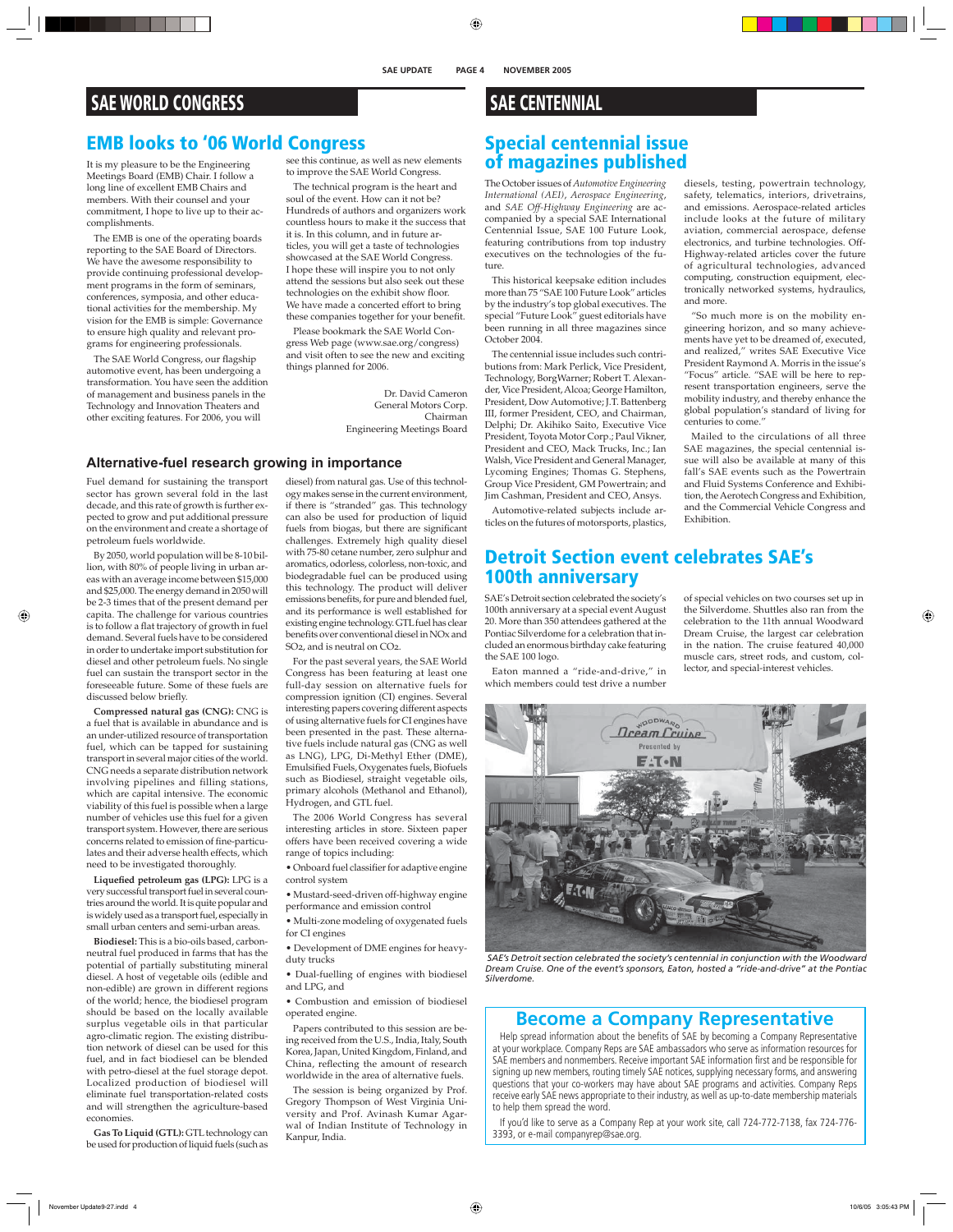#### **SAE UPDATE PAGE 4 NOVEMBER 2005**

# **SAE WORLD CONGRESS**

# **EMB looks to '06 World Congress**

It is my pleasure to be the Engineering Meetings Board (EMB) Chair. I follow a long line of excellent EMB Chairs and members. With their counsel and your commitment, I hope to live up to their accomplishments.

The EMB is one of the operating boards reporting to the SAE Board of Directors. We have the awesome responsibility to provide continuing professional development programs in the form of seminars, conferences, symposia, and other educational activities for the membership. My vision for the EMB is simple: Governance to ensure high quality and relevant programs for engineering professionals.

The SAE World Congress, our flagship automotive event, has been undergoing a transformation. You have seen the addition of management and business panels in the Technology and Innovation Theaters and other exciting features. For 2006, you will

see this continue, as well as new elements to improve the SAE World Congress.

The technical program is the heart and soul of the event. How can it not be? Hundreds of authors and organizers work countless hours to make it the success that it is. In this column, and in future articles, you will get a taste of technologies showcased at the SAE World Congress. I hope these will inspire you to not only attend the sessions but also seek out these technologies on the exhibit show floor. We have made a concerted effort to bring these companies together for your benefit.

Please bookmark the SAE World Congress Web page (www.sae.org/congress) and visit often to see the new and exciting things planned for 2006.

> Dr. David Cameron General Motors Corp. Chairman Engineering Meetings Board

#### **Alternative-fuel research growing in importance**

Fuel demand for sustaining the transport sector has grown several fold in the last decade, and this rate of growth is further expected to grow and put additional pressure on the environment and create a shortage of petroleum fuels worldwide.

By 2050, world population will be 8-10 billion, with 80% of people living in urban areas with an average income between \$15,000 and \$25,000. The energy demand in 2050 will be 2-3 times that of the present demand per capita. The challenge for various countries is to follow a flat trajectory of growth in fuel demand. Several fuels have to be considered in order to undertake import substitution for diesel and other petroleum fuels. No single fuel can sustain the transport sector in the foreseeable future. Some of these fuels are discussed below briefly.

**Compressed natural gas (CNG):** CNG is a fuel that is available in abundance and is an under-utilized resource of transportation fuel, which can be tapped for sustaining transport in several major cities of the world. CNG needs a separate distribution network involving pipelines and filling stations, which are capital intensive. The economic viability of this fuel is possible when a large number of vehicles use this fuel for a given transport system. However, there are serious concerns related to emission of fine-particulates and their adverse health effects, which need to be investigated thoroughly.

Liquefied petroleum gas (LPG): LPG is a very successful transport fuel in several countries around the world. It is quite popular and is widely used as a transport fuel, especially in small urban centers and semi-urban areas.

**Biodiesel:** This is a bio-oils based, carbonneutral fuel produced in farms that has the potential of partially substituting mineral diesel. A host of vegetable oils (edible and non-edible) are grown in different regions of the world; hence, the biodiesel program should be based on the locally available surplus vegetable oils in that particular agro-climatic region. The existing distribution network of diesel can be used for this fuel, and in fact biodiesel can be blended with petro-diesel at the fuel storage depot. Localized production of biodiesel will eliminate fuel transportation-related costs and will strengthen the agriculture-based economies.

**Gas To Liquid (GTL):** GTL technology can be used for production of liquid fuels (such as

diesel) from natural gas. Use of this technology makes sense in the current environment, if there is "stranded" gas. This technology can also be used for production of liquid fuels from biogas, but there are significant challenges. Extremely high quality diesel with 75-80 cetane number, zero sulphur and aromatics, odorless, colorless, non-toxic, and biodegradable fuel can be produced using this technology. The product will deliver emissions benefits, for pure and blended fuel, and its performance is well established for existing engine technology. GTL fuel has clear benefits over conventional diesel in NOx and SO2, and is neutral on CO2.

For the past several years, the SAE World Congress has been featuring at least one full-day session on alternative fuels for compression ignition (CI) engines. Several interesting papers covering different aspects of using alternative fuels for CI engines have been presented in the past. These alternative fuels include natural gas (CNG as well as LNG), LPG, Di-Methyl Ether (DME), Emulsified Fuels, Oxygenates fuels, Biofuels such as Biodiesel, straight vegetable oils, primary alcohols (Methanol and Ethanol), Hydrogen, and GTL fuel.

The 2006 World Congress has several interesting articles in store. Sixteen paper offers have been received covering a wide range of topics including:

• Onboard fuel classifier for adaptive engine control system

• Mustard-seed-driven off-highway engine performance and emission control

• Multi-zone modeling of oxygenated fuels for CI engines

• Development of DME engines for heavyduty trucks

• Dual-fuelling of engines with biodiesel and LPG, and

• Combustion and emission of biodiesel operated engine.

Papers contributed to this session are being received from the U.S., India, Italy, South Korea, Japan, United Kingdom, Finland, and China, reflecting the amount of research worldwide in the area of alternative fuels.

The session is being organized by Prof. Gregory Thompson of West Virginia University and Prof. Avinash Kumar Agarwal of Indian Institute of Technology in Kanpur, India.

# **SAE CENTENNIAL**

## **Special centennial issue of magazines published**

The October issues of *Automotive Engineering International (AEI)*, *Aerospace Engineering*, and *SAE Off-Highway Engineering* are accompanied by a special SAE International Centennial Issue, SAE 100 Future Look, featuring contributions from top industry executives on the technologies of the future.

This historical keepsake edition includes more than 75 "SAE 100 Future Look" articles by the industry's top global executives. The special "Future Look" guest editorials have been running in all three magazines since October 2004.

The centennial issue includes such contributions from: Mark Perlick, Vice President, Technology, BorgWarner; Robert T. Alexander, Vice President, Alcoa; George Hamilton, President, Dow Automotive; J.T. Battenberg III, former President, CEO, and Chairman, Delphi; Dr. Akihiko Saito, Executive Vice President, Toyota Motor Corp.; Paul Vikner, President and CEO, Mack Trucks, Inc.; Ian Walsh, Vice President and General Manager, Lycoming Engines; Thomas G. Stephens, Group Vice President, GM Powertrain; and Jim Cashman, President and CEO, Ansys.

Automotive-related subjects include articles on the futures of motorsports, plastics,

## **Detroit Section event celebrates SAE's 100th anniversary**

SAE's Detroit section celebrated the society's 100th anniversary at a special event August 20. More than 350 attendees gathered at the Pontiac Silverdome for a celebration that included an enormous birthday cake featuring the SAE 100 logo.

Eaton manned a "ride-and-drive," in which members could test drive a number

*Silverdome.* 

diesels, testing, powertrain technology, safety, telematics, interiors, drivetrains, and emissions. Aerospace-related articles include looks at the future of military aviation, commercial aerospace, defense electronics, and turbine technologies. Off-Highway-related articles cover the future of agricultural technologies, advanced computing, construction equipment, electronically networked systems, hydraulics, and more.

"So much more is on the mobility engineering horizon, and so many achievements have yet to be dreamed of, executed, and realized," writes SAE Executive Vice President Raymond A. Morris in the issue's "Focus" article. "SAE will be here to represent transportation engineers, serve the mobility industry, and thereby enhance the global population's standard of living for centuries to come."

Mailed to the circulations of all three SAE magazines, the special centennial issue will also be available at many of this fall's SAE events such as the Powertrain and Fluid Systems Conference and Exhibition, the Aerotech Congress and Exhibition, and the Commercial Vehicle Congress and Exhibition.

of special vehicles on two courses set up in the Silverdome. Shuttles also ran from the celebration to the 11th annual Woodward Dream Cruise, the largest car celebration in the nation. The cruise featured 40,000 muscle cars, street rods, and custom, collector, and special-interest vehicles.

 *SAE's Detroit section celebrated the society's centennial in conjunction with the Woodward Dream Cruise. One of the event's sponsors, Eaton, hosted a "ride-and-drive" at the Pontiac* 

## **Become a Company Representative**

Help spread information about the benefits of SAE by becoming a Company Representative at your workplace. Company Reps are SAE ambassadors who serve as information resources for SAE members and nonmembers. Receive important SAE information first and be responsible for signing up new members, routing timely SAE notices, supplying necessary forms, and answering questions that your co-workers may have about SAE programs and activities. Company Reps receive early SAE news appropriate to their industry, as well as up-to-date membership materials to help them spread the word.

If you'd like to serve as a Company Rep at your work site, call 724-772-7138, fax 724-776- 3393, or e-mail companyrep@sae.org.

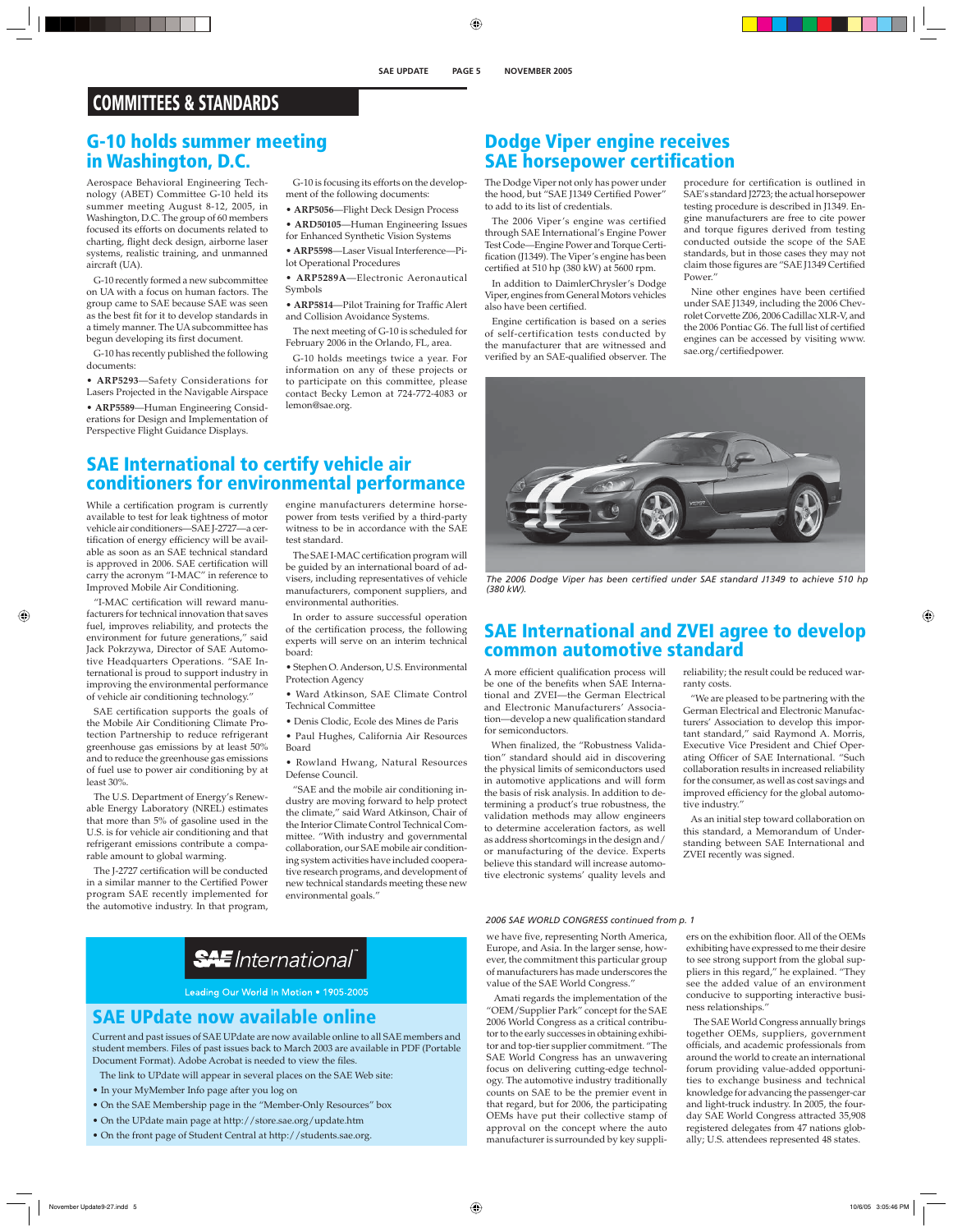# **COMMITTEES & STANDARDS**

## **G-10 holds summer meeting in Washington, D.C.**

Aerospace Behavioral Engineering Technology (ABET) Committee G-10 held its summer meeting August 8-12, 2005, in Washington, D.C. The group of 60 members focused its efforts on documents related to charting, flight deck design, airborne laser systems, realistic training, and unmanned aircraft (UA).

G-10 recently formed a new subcommittee on UA with a focus on human factors. The group came to SAE because SAE was seen as the best fit for it to develop standards in a timely manner. The UA subcommittee has begun developing its first document.

G-10 has recently published the following documents:

• **ARP5293**—Safety Considerations for Lasers Projected in the Navigable Airspace • **ARP5589**—Human Engineering Considerations for Design and Implementation of Perspective Flight Guidance Displays.

G-10 is focusing its efforts on the development of the following documents:

• **ARP5056**—Flight Deck Design Process

• **ARD50105**—Human Engineering Issues

for Enhanced Synthetic Vision Systems

• **ARP5598**—Laser Visual Interference—Pilot Operational Procedures

• **ARP5289A**—Electronic Aeronautical Symbols

• **ARP5814**—Pilot Training for Traffic Alert and Collision Avoidance Systems.

The next meeting of G-10 is scheduled for February 2006 in the Orlando, FL, area.

G-10 holds meetings twice a year. For information on any of these projects or to participate on this committee, please contact Becky Lemon at 724-772-4083 or lemon@sae.org.

#### The Dodge Viper not only has power under the hood, but "SAE J1349 Certified Power" to add to its list of credentials.

The 2006 Viper's engine was certified through SAE International's Engine Power Test Code—Engine Power and Torque Certification (J1349). The Viper's engine has been certified at 510 hp (380 kW) at 5600 rpm.

**Dodge Viper engine receives SAE horsepower certification** 

In addition to DaimlerChrysler's Dodge Viper, engines from General Motors vehicles also have been certified.

Engine certification is based on a series of self-certification tests conducted by the manufacturer that are witnessed and verified by an SAE-qualified observer. The

procedure for certification is outlined in SAE's standard J2723; the actual horsepower testing procedure is described in J1349. Engine manufacturers are free to cite power and torque figures derived from testing conducted outside the scope of the SAE standards, but in those cases they may not claim those figures are "SAE J1349 Certified Power."

Nine other engines have been certified under SAE J1349, including the 2006 Chevrolet Corvette Z06, 2006 Cadillac XLR-V, and the 2006 Pontiac G6. The full list of certified engines can be accessed by visiting www. sae.org/certifiedpower.



The 2006 Dodge Viper has been certified under SAE standard J1349 to achieve 510 hp *(380 kW).* 

# **SAE International and ZVEI agree to develop common automotive standard**

A more efficient qualification process will be one of the benefits when SAE International and ZVEI—the German Electrical and Electronic Manufacturers' Association—develop a new qualification standard for semiconductors.

When finalized, the "Robustness Validation" standard should aid in discovering the physical limits of semiconductors used in automotive applications and will form the basis of risk analysis. In addition to determining a product's true robustness, the validation methods may allow engineers to determine acceleration factors, as well as address shortcomings in the design and/ or manufacturing of the device. Experts believe this standard will increase automotive electronic systems' quality levels and

reliability; the result could be reduced warranty costs.

"We are pleased to be partnering with the German Electrical and Electronic Manufacturers' Association to develop this important standard," said Raymond A. Morris, Executive Vice President and Chief Operating Officer of SAE International. "Such collaboration results in increased reliability for the consumer, as well as cost savings and improved efficiency for the global automotive industry."

As an initial step toward collaboration on this standard, a Memorandum of Understanding between SAE International and ZVEI recently was signed.

# **SAE International to certify vehicle air conditioners for environmental performance**

While a certification program is currently available to test for leak tightness of motor vehicle air conditioners—SAE J-2727—a certification of energy efficiency will be available as soon as an SAE technical standard is approved in 2006. SAE certification will carry the acronym "I-MAC" in reference to Improved Mobile Air Conditioning.

"I-MAC certification will reward manufacturers for technical innovation that saves fuel, improves reliability, and protects the environment for future generations," said Jack Pokrzywa, Director of SAE Automotive Headquarters Operations. "SAE International is proud to support industry in improving the environmental performance of vehicle air conditioning technology."

SAE certification supports the goals of the Mobile Air Conditioning Climate Protection Partnership to reduce refrigerant greenhouse gas emissions by at least 50% and to reduce the greenhouse gas emissions of fuel use to power air conditioning by at least 30%.

The U.S. Department of Energy's Renewable Energy Laboratory (NREL) estimates that more than 5% of gasoline used in the U.S. is for vehicle air conditioning and that refrigerant emissions contribute a comparable amount to global warming.

The J-2727 certification will be conducted in a similar manner to the Certified Power program SAE recently implemented for the automotive industry. In that program,

engine manufacturers determine horsepower from tests verified by a third-party witness to be in accordance with the SAE test standard.

The SAE I-MAC certification program will be guided by an international board of advisers, including representatives of vehicle manufacturers, component suppliers, and environmental authorities.

In order to assure successful operation of the certification process, the following experts will serve on an interim technical board:

• Stephen O. Anderson, U.S. Environmental Protection Agency

• Ward Atkinson, SAE Climate Control Technical Committee

• Denis Clodic, Ecole des Mines de Paris

• Paul Hughes, California Air Resources Board

• Rowland Hwang, Natural Resources Defense Council.

"SAE and the mobile air conditioning industry are moving forward to help protect the climate," said Ward Atkinson, Chair of the Interior Climate Control Technical Committee. "With industry and governmental collaboration, our SAE mobile air conditioning system activities have included cooperative research programs, and development of new technical standards meeting these new environmental goals."

#### *2006 SAE WORLD CONGRESS continued from p. 1*

we have five, representing North America, Europe, and Asia. In the larger sense, however, the commitment this particular group of manufacturers has made underscores the value of the SAE World Congress."

Amati regards the implementation of the "OEM/Supplier Park" concept for the SAE 2006 World Congress as a critical contributor to the early successes in obtaining exhibitor and top-tier supplier commitment. "The SAE World Congress has an unwavering focus on delivering cutting-edge technology. The automotive industry traditionally counts on SAE to be the premier event in that regard, but for 2006, the participating OEMs have put their collective stamp of approval on the concept where the auto manufacturer is surrounded by key suppliers on the exhibition floor. All of the OEMs exhibiting have expressed to me their desire to see strong support from the global suppliers in this regard," he explained. "They see the added value of an environment conducive to supporting interactive business relationships."

The SAE World Congress annually brings together OEMs, suppliers, government officials, and academic professionals from around the world to create an international forum providing value-added opportunities to exchange business and technical knowledge for advancing the passenger-car and light-truck industry. In 2005, the fourday SAE World Congress attracted 35,908 registered delegates from 47 nations globally; U.S. attendees represented 48 states.

# **SAE** International®

Leading Our World In Motion . 1905-2005

# **SAE UPdate now available online**

Current and past issues of SAE UPdate are now available online to all SAE members and student members. Files of past issues back to March 2003 are available in PDF (Portable Document Format). Adobe Acrobat is needed to view the files.

The link to UPdate will appear in several places on the SAE Web site:

- In your MyMember Info page after you log on
- On the SAE Membership page in the "Member-Only Resources" box
- On the UPdate main page at http://store.sae.org/update.htm
- On the front page of Student Central at http://students.sae.org.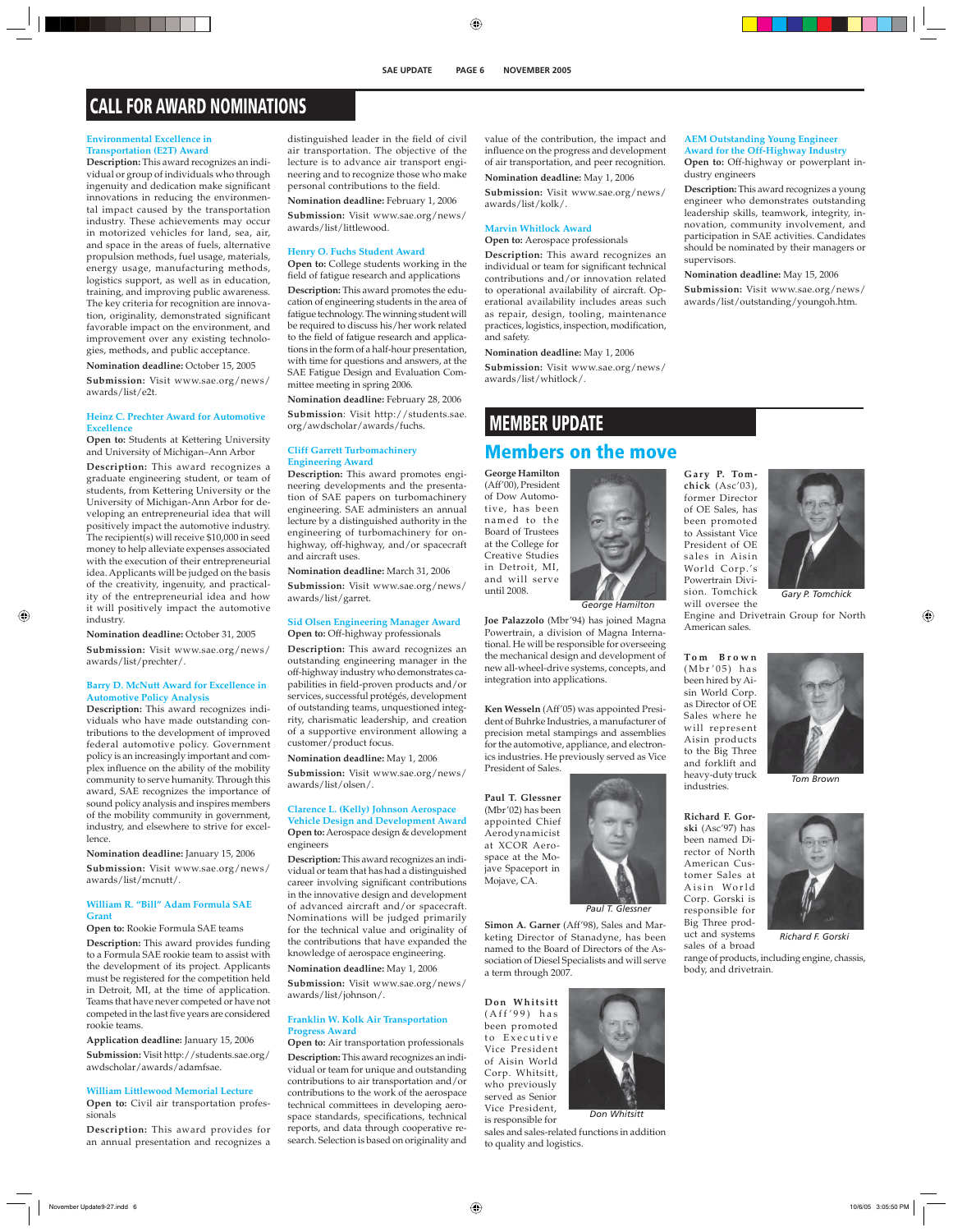# **CALL FOR AWARD NOMINATIONS**

#### **Environmental Excellence in Transportation (E2T) Award**

**Description:** This award recognizes an individual or group of individuals who through ingenuity and dedication make significant innovations in reducing the environmental impact caused by the transportation industry. These achievements may occur in motorized vehicles for land, sea, air, and space in the areas of fuels, alternative propulsion methods, fuel usage, materials, energy usage, manufacturing methods, logistics support, as well as in education, training, and improving public awareness. The key criteria for recognition are innovation, originality, demonstrated significant favorable impact on the environment, and improvement over any existing technologies, methods, and public acceptance.

**Nomination deadline:** October 15, 2005

**Submission:** Visit www.sae.org/news/ awards/list/e2t.

#### **Heinz C. Prechter Award for Automotive Excellence**

**Open to:** Students at Kettering University and University of Michigan–Ann Arbor

**Description:** This award recognizes a graduate engineering student, or team of students, from Kettering University or the University of Michigan-Ann Arbor for developing an entrepreneurial idea that will positively impact the automotive industry. The recipient(s) will receive \$10,000 in seed money to help alleviate expenses associated with the execution of their entrepreneurial idea. Applicants will be judged on the basis of the creativity, ingenuity, and practicality of the entrepreneurial idea and how it will positively impact the automotive industry.

**Nomination deadline:** October 31, 2005 **Submission:** Visit www.sae.org/news/ awards/list/prechter/.

#### **Barry D. McNutt Award for Excellence in Automotive Policy Analysis**

**Description:** This award recognizes individuals who have made outstanding contributions to the development of improved federal automotive policy. Government policy is an increasingly important and complex influence on the ability of the mobility community to serve humanity. Through this award, SAE recognizes the importance of sound policy analysis and inspires members of the mobility community in government, industry, and elsewhere to strive for excellence.

**Nomination deadline:** January 15, 2006

**Submission:** Visit www.sae.org/news/ awards/list/mcnutt/.

#### **William R. "Bill" Adam Formula SAE Grant**

#### **Open to:** Rookie Formula SAE teams

**Description:** This award provides funding to a Formula SAE rookie team to assist with the development of its project. Applicants must be registered for the competition held in Detroit, MI, at the time of application. Teams that have never competed or have not competed in the last five years are considered rookie teams.

**Application deadline:** January 15, 2006 **Submission:** Visit http://students.sae.org/ awdscholar/awards/adamfsae.

#### **William Littlewood Memorial Lecture**

**Open to:** Civil air transportation professionals

**Description:** This award provides for an annual presentation and recognizes a

distinguished leader in the field of civil air transportation. The objective of the lecture is to advance air transport engineering and to recognize those who make personal contributions to the field.

**Nomination deadline:** February 1, 2006 **Submission:** Visit www.sae.org/news/ awards/list/littlewood.

#### **Henry O. Fuchs Student Award**

**Open to:** College students working in the field of fatigue research and applications

**Description:** This award promotes the education of engineering students in the area of fatigue technology. The winning student will be required to discuss his/her work related to the field of fatigue research and applications in the form of a half-hour presentation, with time for questions and answers, at the SAE Fatigue Design and Evaluation Committee meeting in spring 2006.

**Nomination deadline:** February 28, 2006 **Submission**: Visit http://students.sae. org/awdscholar/awards/fuchs.

#### **Cliff Garrett Turbomachinery Engineering Award**

**Description:** This award promotes engineering developments and the presentation of SAE papers on turbomachinery engineering. SAE administers an annual lecture by a distinguished authority in the engineering of turbomachinery for onhighway, off-highway, and/or spacecraft and aircraft uses.

**Nomination deadline:** March 31, 2006

**Submission:** Visit www.sae.org/news/ awards/list/garret.

#### **Sid Olsen Engineering Manager Award Open to:** Off-highway professionals

**Description:** This award recognizes an outstanding engineering manager in the off-highway industry who demonstrates capabilities in field-proven products and/or services, successful protégés, development of outstanding teams, unquestioned integrity, charismatic leadership, and creation of a supportive environment allowing a customer/product focus.

**Nomination deadline:** May 1, 2006

**Submission:** Visit www.sae.org/news/ awards/list/olsen/.

#### **Clarence L. (Kelly) Johnson Aerospace**

**Vehicle Design and Development Award Open to:** Aerospace design & development engineers

**Description:** This award recognizes an individual or team that has had a distinguished career involving significant contributions in the innovative design and development of advanced aircraft and/or spacecraft. Nominations will be judged primarily for the technical value and originality of the contributions that have expanded the knowledge of aerospace engineering. **Nomination deadline:** May 1, 2006

**Submission:** Visit www.sae.org/news/ awards/list/johnson/.

#### **Franklin W. Kolk Air Transportation Progress Award**

**Open to:** Air transportation professionals **Description:** This award recognizes an individual or team for unique and outstanding contributions to air transportation and/or contributions to the work of the aerospace technical committees in developing aerospace standards, specifications, technical reports, and data through cooperative research. Selection is based on originality and value of the contribution, the impact and influence on the progress and development of air transportation, and peer recognition. **Nomination deadline:** May 1, 2006

**Submission:** Visit www.sae.org/news/ awards/list/kolk/.

#### **Marvin Whitlock Award**

**Open to:** Aerospace professionals **Description:** This award recognizes an individual or team for significant technical contributions and/or innovation related to operational availability of aircraft. Operational availability includes areas such as repair, design, tooling, maintenance practices, logistics, inspection, modification, and safety.

#### **Nomination deadline:** May 1, 2006

**Submission:** Visit www.sae.org/news/ awards/list/whitlock/.

# **MEMBER UPDATE Members on the move**

**George Hamilton** (Aff'00), President of Dow Automotive, has been named to the Board of Trustees at the College for Creative Studies in Detroit, MI, and will serve until 2008.



*George Hamilton*

**Joe Palazzolo** (Mbr'94) has joined Magna Powertrain, a division of Magna International. He will be responsible for overseeing the mechanical design and development of new all-wheel-drive systems, concepts, and integration into applications.

**Ken Wesseln** (Aff'05) was appointed President of Buhrke Industries, a manufacturer of precision metal stampings and assemblies for the automotive, appliance, and electronics industries. He previously served as Vice

**Paul T. Glessner** (Mbr'02) has been appointed Chief Aerodynamicist at XCOR Aerospace at the Mojave Spaceport in Mojave, CA.

*Paul T. Glessner*

**Simon A. Garner** (Aff'98), Sales and Marketing Director of Stanadyne, has been named to the Board of Directors of the Association of Diesel Specialists and will serve a term through 2007.

**Don Whitsitt**  $(Aff'99)$  has been promoted to Executive Vice President of Aisin World Corp. Whitsitt, who previously served as Senior Vice President,

is responsible for sales and sales-related functions in addition to quality and logistics. *Don Whitsitt*

#### **AEM Outstanding Young Engineer Award for the Off-Highway Industry**

**Open to:** Off-highway or powerplant industry engineers

**Description:** This award recognizes a young engineer who demonstrates outstanding leadership skills, teamwork, integrity, innovation, community involvement, and participation in SAE activities. Candidates should be nominated by their managers or supervisors.

**Nomination deadline:** May 15, 2006 **Submission:** Visit www.sae.org/news/ awards/list/outstanding/youngoh.htm.

**Gary P. Tomchick** (Asc'03), former Director of OE Sales, has been promoted to Assistant Vice President of OE sales in Aisin World Corp.'s Powertrain Division. Tomchick will oversee the



Engine and Drivetrain Group for North American sales. *Gary P. Tomchick*

**Tom Brown** (Mbr'05) has been hired by Aisin World Corp. as Director of OE Sales where he will represent Aisin products to the Big Three and forklift and heavy-duty truck industries.

**Richard F. Gorski** (Asc'97) has been named Director of North American Customer Sales at Aisin World Corp. Gorski is responsible for Big Three prod-



*Tom Brown*

*Richard F. Gorski*

range of products, including engine, chassis, body, and drivetrain.





uct and systems sales of a broad

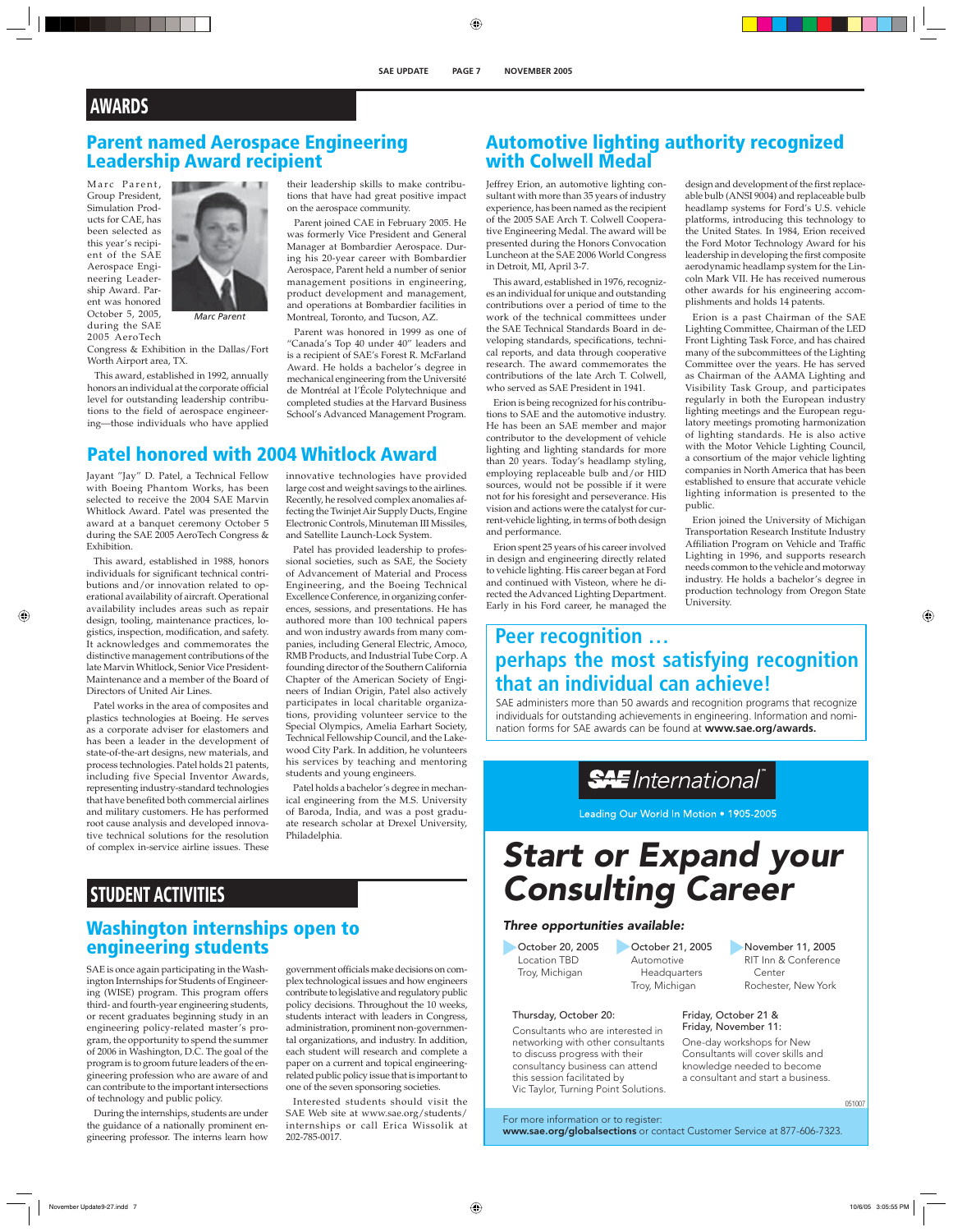# **AWARDS**

## **Parent named Aerospace Engineering Leadership Award recipient**

Marc Parent, Group President, Simulation Products for CAE, has been selected as this year's recipient of the SAE Aerospace Engineering Leadership Award. Parent was honored October 5, 2005, during the SAE 2005 AeroTech



*Marc Parent*

Congress & Exhibition in the Dallas/Fort Worth Airport area, TX.

This award, established in 1992, annually honors an individual at the corporate official level for outstanding leadership contributions to the field of aerospace engineering—those individuals who have applied their leadership skills to make contributions that have had great positive impact on the aerospace community.

Parent joined CAE in February 2005. He was formerly Vice President and General Manager at Bombardier Aerospace. During his 20-year career with Bombardier Aerospace, Parent held a number of senior management positions in engineering, product development and management, and operations at Bombardier facilities in Montreal, Toronto, and Tucson, AZ.

Parent was honored in 1999 as one of "Canada's Top 40 under 40" leaders and is a recipient of SAE's Forest R. McFarland Award. He holds a bachelor's degree in mechanical engineering from the Université de Montréal at l'École Polytechnique and completed studies at the Harvard Business School's Advanced Management Program.

## **Patel honored with 2004 Whitlock Award**

Jayant "Jay" D. Patel, a Technical Fellow with Boeing Phantom Works, has been selected to receive the 2004 SAE Marvin Whitlock Award. Patel was presented the award at a banquet ceremony October 5 during the SAE 2005 AeroTech Congress & Exhibition.

This award, established in 1988, honors individuals for significant technical contributions and/or innovation related to operational availability of aircraft. Operational availability includes areas such as repair design, tooling, maintenance practices, logistics, inspection, modification, and safety. It acknowledges and commemorates the distinctive management contributions of the late Marvin Whitlock, Senior Vice President-Maintenance and a member of the Board of Directors of United Air Lines.

Patel works in the area of composites and plastics technologies at Boeing. He serves as a corporate adviser for elastomers and has been a leader in the development of state-of-the-art designs, new materials, and process technologies. Patel holds 21 patents, including five Special Inventor Awards, representing industry-standard technologies that have benefited both commercial airlines and military customers. He has performed root cause analysis and developed innovative technical solutions for the resolution of complex in-service airline issues. These

innovative technologies have provided large cost and weight savings to the airlines. Recently, he resolved complex anomalies affecting the Twinjet Air Supply Ducts, Engine Electronic Controls, Minuteman III Missiles, and Satellite Launch-Lock System.

Patel has provided leadership to professional societies, such as SAE, the Society of Advancement of Material and Process Engineering, and the Boeing Technical Excellence Conference, in organizing conferences, sessions, and presentations. He has authored more than 100 technical papers and won industry awards from many companies, including General Electric, Amoco, RMB Products, and Industrial Tube Corp. A founding director of the Southern California Chapter of the American Society of Engineers of Indian Origin, Patel also actively participates in local charitable organizations, providing volunteer service to the Special Olympics, Amelia Earhart Society, Technical Fellowship Council, and the Lakewood City Park. In addition, he volunteers his services by teaching and mentoring students and young engineers.

Patel holds a bachelor's degree in mechanical engineering from the M.S. University of Baroda, India, and was a post graduate research scholar at Drexel University, Philadelphia.

# **STUDENT ACTIVITIES**

## **Washington internships open to engineering students**

SAE is once again participating in the Washington Internships for Students of Engineering (WISE) program. This program offers third- and fourth-year engineering students, or recent graduates beginning study in an engineering policy-related master's program, the opportunity to spend the summer of 2006 in Washington, D.C. The goal of the program is to groom future leaders of the engineering profession who are aware of and can contribute to the important intersections of technology and public policy.

During the internships, students are under the guidance of a nationally prominent engineering professor. The interns learn how

government officials make decisions on complex technological issues and how engineers contribute to legislative and regulatory public policy decisions. Throughout the 10 weeks, students interact with leaders in Congress, administration, prominent non-governmental organizations, and industry. In addition, each student will research and complete a paper on a current and topical engineeringrelated public policy issue that is important to one of the seven sponsoring societies.

Interested students should visit the SAE Web site at www.sae.org/students/ internships or call Erica Wissolik at 202-785-0017.

## **Automotive lighting authority recognized with Colwell Medal**

Jeffrey Erion, an automotive lighting consultant with more than 35 years of industry experience, has been named as the recipient of the 2005 SAE Arch T. Colwell Cooperative Engineering Medal. The award will be presented during the Honors Convocation Luncheon at the SAE 2006 World Congress in Detroit, MI, April 3-7.

This award, established in 1976, recognizes an individual for unique and outstanding contributions over a period of time to the work of the technical committees under the SAE Technical Standards Board in developing standards, specifications, technical reports, and data through cooperative research. The award commemorates the contributions of the late Arch T. Colwell, who served as SAE President in 1941.

Erion is being recognized for his contributions to SAE and the automotive industry. He has been an SAE member and major contributor to the development of vehicle lighting and lighting standards for more than 20 years. Today's headlamp styling, employing replaceable bulb and/or HID sources, would not be possible if it were not for his foresight and perseverance. His vision and actions were the catalyst for current-vehicle lighting, in terms of both design and performance.

Erion spent 25 years of his career involved in design and engineering directly related to vehicle lighting. His career began at Ford and continued with Visteon, where he directed the Advanced Lighting Department. Early in his Ford career, he managed the

design and development of the first replaceable bulb (ANSI 9004) and replaceable bulb headlamp systems for Ford's U.S. vehicle platforms, introducing this technology to the United States. In 1984, Erion received the Ford Motor Technology Award for his leadership in developing the first composite aerodynamic headlamp system for the Lincoln Mark VII. He has received numerous other awards for his engineering accomplishments and holds 14 patents.

Erion is a past Chairman of the SAE Lighting Committee, Chairman of the LED Front Lighting Task Force, and has chaired many of the subcommittees of the Lighting Committee over the years. He has served as Chairman of the AAMA Lighting and Visibility Task Group, and participates regularly in both the European industry lighting meetings and the European regulatory meetings promoting harmonization of lighting standards. He is also active with the Motor Vehicle Lighting Council, a consortium of the major vehicle lighting companies in North America that has been established to ensure that accurate vehicle lighting information is presented to the public.

Erion joined the University of Michigan Transportation Research Institute Industry Affiliation Program on Vehicle and Traffic Lighting in 1996, and supports research needs common to the vehicle and motorway industry. He holds a bachelor's degree in production technology from Oregon State University.

# **Peer recognition … perhaps the most satisfying recognition that an individual can achieve!**

SAE administers more than 50 awards and recognition programs that recognize individuals for outstanding achievements in engineering. Information and nomination forms for SAE awards can be found at **www.sae.org/awards.**

**SAE** International

Leading Our World In Motion . 1905-2005

# Start or Expand your Consulting Career

#### Three opportunities available:

October 20, 2005 Location TBD Troy, Michigan

Thursday, October 20:

October 21, 2005 Automotive Headquarters

Troy, Michigan

RIT Inn & Conference Center Rochester, New York

November 11, 2005

051007

Friday, October 21 & Friday, November 11:

One-day workshops for New Consultants will cover skills and knowledge needed to become a consultant and start a business.

For more information or to register:

Vic Taylor, Turning Point Solutions.

Consultants who are interested in networking with other consultants to discuss progress with their consultancy business can attend this session facilitated by

www.sae.org/globalsections or contact Customer Service at 877-606-7323.

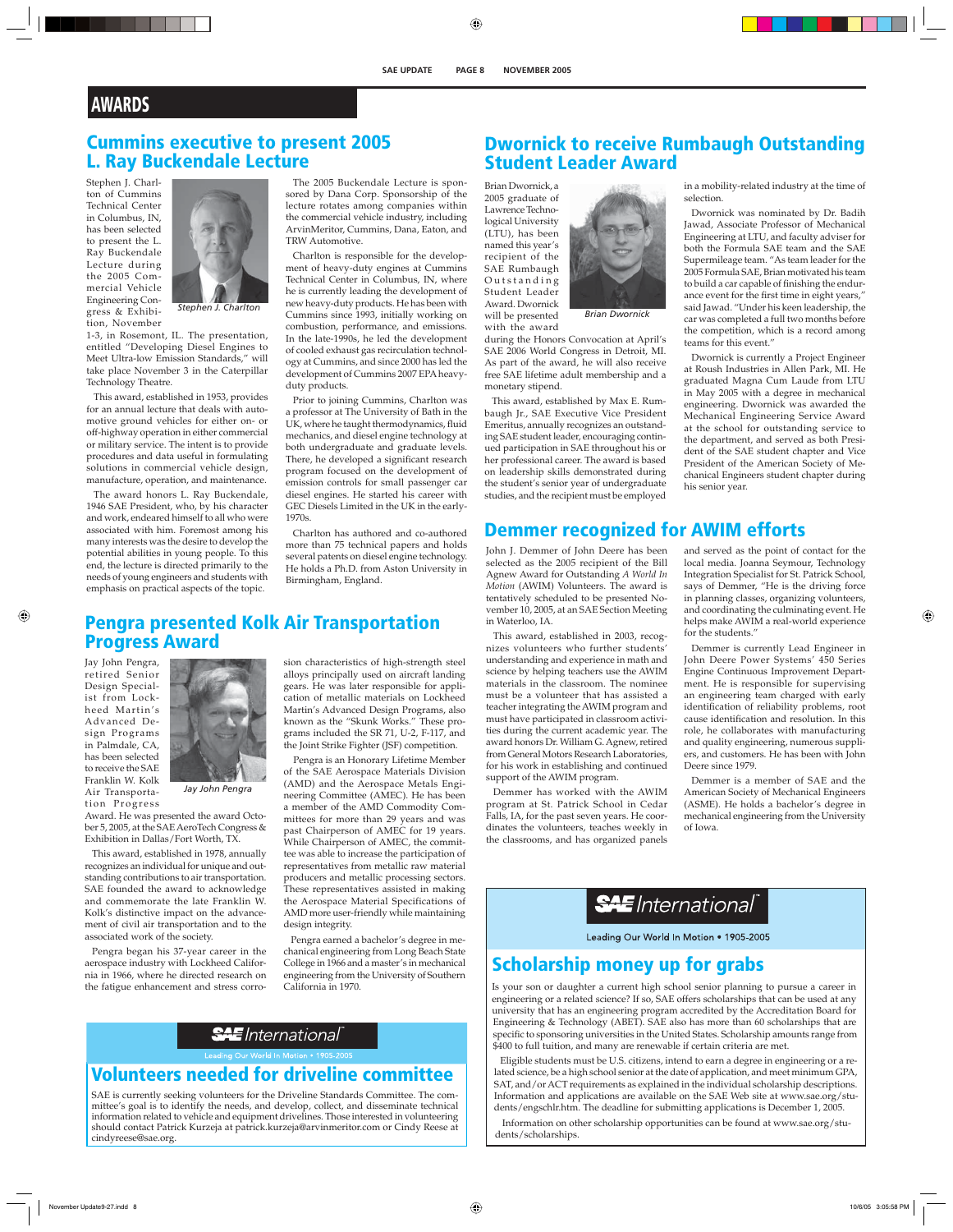# **Cummins executive to present 2005 L. Ray Buckendale Lecture**

Stephen J. Charlton of Cummins Technical Center in Columbus, IN, has been selected to present the L. Ray Buckendale Lecture during the 2005 Commercial Vehicle Engineering Congress & Exhibi-

tion, November



*Stephen J. Charlton*

1-3, in Rosemont, IL. The presentation, entitled "Developing Diesel Engines to Meet Ultra-low Emission Standards," will take place November 3 in the Caterpillar Technology Theatre.

This award, established in 1953, provides for an annual lecture that deals with automotive ground vehicles for either on- or off-highway operation in either commercial or military service. The intent is to provide procedures and data useful in formulating solutions in commercial vehicle design, manufacture, operation, and maintenance.

The award honors L. Ray Buckendale, 1946 SAE President, who, by his character and work, endeared himself to all who were associated with him. Foremost among his many interests was the desire to develop the potential abilities in young people. To this end, the lecture is directed primarily to the needs of young engineers and students with emphasis on practical aspects of the topic.

The 2005 Buckendale Lecture is sponsored by Dana Corp. Sponsorship of the lecture rotates among companies within the commercial vehicle industry, including ArvinMeritor, Cummins, Dana, Eaton, and TRW Automotive.

Charlton is responsible for the development of heavy-duty engines at Cummins Technical Center in Columbus, IN, where he is currently leading the development of new heavy-duty products. He has been with Cummins since 1993, initially working on combustion, performance, and emissions. In the late-1990s, he led the development of cooled exhaust gas recirculation technology at Cummins, and since 2000 has led the development of Cummins 2007 EPA heavyduty products.

Prior to joining Cummins, Charlton was a professor at The University of Bath in the UK, where he taught thermodynamics, fluid mechanics, and diesel engine technology at both undergraduate and graduate levels. There, he developed a significant research program focused on the development of emission controls for small passenger car diesel engines. He started his career with GEC Diesels Limited in the UK in the early-1970s.

Charlton has authored and co-authored more than 75 technical papers and holds several patents on diesel engine technology. He holds a Ph.D. from Aston University in Birmingham, England.

### **Pengra presented Kolk Air Transportation Progress Award**

Jay John Pengra, retired Senior Design Specialist from Lockheed Martin's Advanced Design Programs in Palmdale, CA, has been selected to receive the SAE Franklin W. Kolk Air Transportation Progress



*Jay John Pengra*

Award. He was presented the award October 5, 2005, at the SAE AeroTech Congress & Exhibition in Dallas/Fort Worth, TX.

This award, established in 1978, annually recognizes an individual for unique and outstanding contributions to air transportation. SAE founded the award to acknowledge and commemorate the late Franklin W. Kolk's distinctive impact on the advancement of civil air transportation and to the associated work of the society.

Pengra began his 37-year career in the aerospace industry with Lockheed California in 1966, where he directed research on the fatigue enhancement and stress corrosion characteristics of high-strength steel alloys principally used on aircraft landing gears. He was later responsible for application of metallic materials on Lockheed Martin's Advanced Design Programs, also known as the "Skunk Works." These programs included the SR 71, U-2, F-117, and the Joint Strike Fighter (JSF) competition.

 Pengra is an Honorary Lifetime Member of the SAE Aerospace Materials Division (AMD) and the Aerospace Metals Engineering Committee (AMEC). He has been a member of the AMD Commodity Committees for more than 29 years and was past Chairperson of AMEC for 19 years. While Chairperson of AMEC, the committee was able to increase the participation of representatives from metallic raw material producers and metallic processing sectors. These representatives assisted in making the Aerospace Material Specifications of AMD more user-friendly while maintaining design integrity.

Pengra earned a bachelor's degree in mechanical engineering from Long Beach State College in 1966 and a master's in mechanical engineering from the University of Southern California in 1970.

# **SAE** International

## **Volunteers needed for driveline committee**

SAE is currently seeking volunteers for the Driveline Standards Committee. The committee's goal is to identify the needs, and develop, collect, and disseminate technical information related to vehicle and equipment drivelines. Those interested in volunteering should contact Patrick Kurzeja at patrick.kurzeja@arvinmeritor.com or Cindy Reese at cindyreese@sae.org.

## **Dwornick to receive Rumbaugh Outstanding Student Leader Award**

selection.

teams for this event."

his senior year.

Brian Dwornick, a 2005 graduate of Lawrence Technological University (LTU), has been named this year's recipient of the SAE Rumbaugh Outstanding Student Leader Award. Dwornick

will be presented with the award



*Brian Dwornick*

during the Honors Convocation at April's SAE 2006 World Congress in Detroit, MI. As part of the award, he will also receive free SAE lifetime adult membership and a monetary stipend.

This award, established by Max E. Rumbaugh Jr., SAE Executive Vice President Emeritus, annually recognizes an outstanding SAE student leader, encouraging continued participation in SAE throughout his or her professional career. The award is based on leadership skills demonstrated during the student's senior year of undergraduate studies, and the recipient must be employed

# **Demmer recognized for AWIM efforts**

John J. Demmer of John Deere has been selected as the 2005 recipient of the Bill Agnew Award for Outstanding *A World In Motion* (AWIM) Volunteers. The award is tentatively scheduled to be presented November 10, 2005, at an SAE Section Meeting in Waterloo, IA.

This award, established in 2003, recognizes volunteers who further students' understanding and experience in math and science by helping teachers use the AWIM materials in the classroom. The nominee must be a volunteer that has assisted a teacher integrating the AWIM program and must have participated in classroom activities during the current academic year. The award honors Dr. William G. Agnew, retired from General Motors Research Laboratories, for his work in establishing and continued support of the AWIM program.

Demmer has worked with the AWIM program at St. Patrick School in Cedar Falls, IA, for the past seven years. He coordinates the volunteers, teaches weekly in the classrooms, and has organized panels

and served as the point of contact for the local media. Joanna Seymour, Technology Integration Specialist for St. Patrick School, says of Demmer, "He is the driving force in planning classes, organizing volunteers, and coordinating the culminating event. He helps make AWIM a real-world experience for the students."

in a mobility-related industry at the time of

Dwornick was nominated by Dr. Badih Jawad, Associate Professor of Mechanical Engineering at LTU, and faculty adviser for both the Formula SAE team and the SAE Supermileage team. "As team leader for the 2005 Formula SAE, Brian motivated his team to build a car capable of finishing the endurance event for the first time in eight years," said Jawad. "Under his keen leadership, the car was completed a full two months before the competition, which is a record among

Dwornick is currently a Project Engineer at Roush Industries in Allen Park, MI. He graduated Magna Cum Laude from LTU in May 2005 with a degree in mechanical engineering. Dwornick was awarded the Mechanical Engineering Service Award at the school for outstanding service to the department, and served as both President of the SAE student chapter and Vice President of the American Society of Mechanical Engineers student chapter during

Demmer is currently Lead Engineer in John Deere Power Systems' 450 Series Engine Continuous Improvement Department. He is responsible for supervising an engineering team charged with early identification of reliability problems, root cause identification and resolution. In this role, he collaborates with manufacturing and quality engineering, numerous suppliers, and customers. He has been with John Deere since 1979.

Demmer is a member of SAE and the American Society of Mechanical Engineers (ASME). He holds a bachelor's degree in mechanical engineering from the University of Iowa.

# **SAE** International®

Leading Our World In Motion . 1905-2005

## **Scholarship money up for grabs**

Is your son or daughter a current high school senior planning to pursue a career in heering or a related science? If so, SAE offers scholarships that can be used at any university that has an engineering program accredited by the Accreditation Board for Engineering & Technology (ABET). SAE also has more than 60 scholarships that are specific to sponsoring universities in the United States. Scholarship amounts range from \$400 to full tuition, and many are renewable if certain criteria are met.

Eligible students must be U.S. citizens, intend to earn a degree in engineering or a related science, be a high school senior at the date of application, and meet minimum GPA, SAT, and/or ACT requirements as explained in the individual scholarship descriptions. Information and applications are available on the SAE Web site at www.sae.org/students/engschlr.htm. The deadline for submitting applications is December 1, 2005.

Information on other scholarship opportunities can be found at www.sae.org/students/scholarships.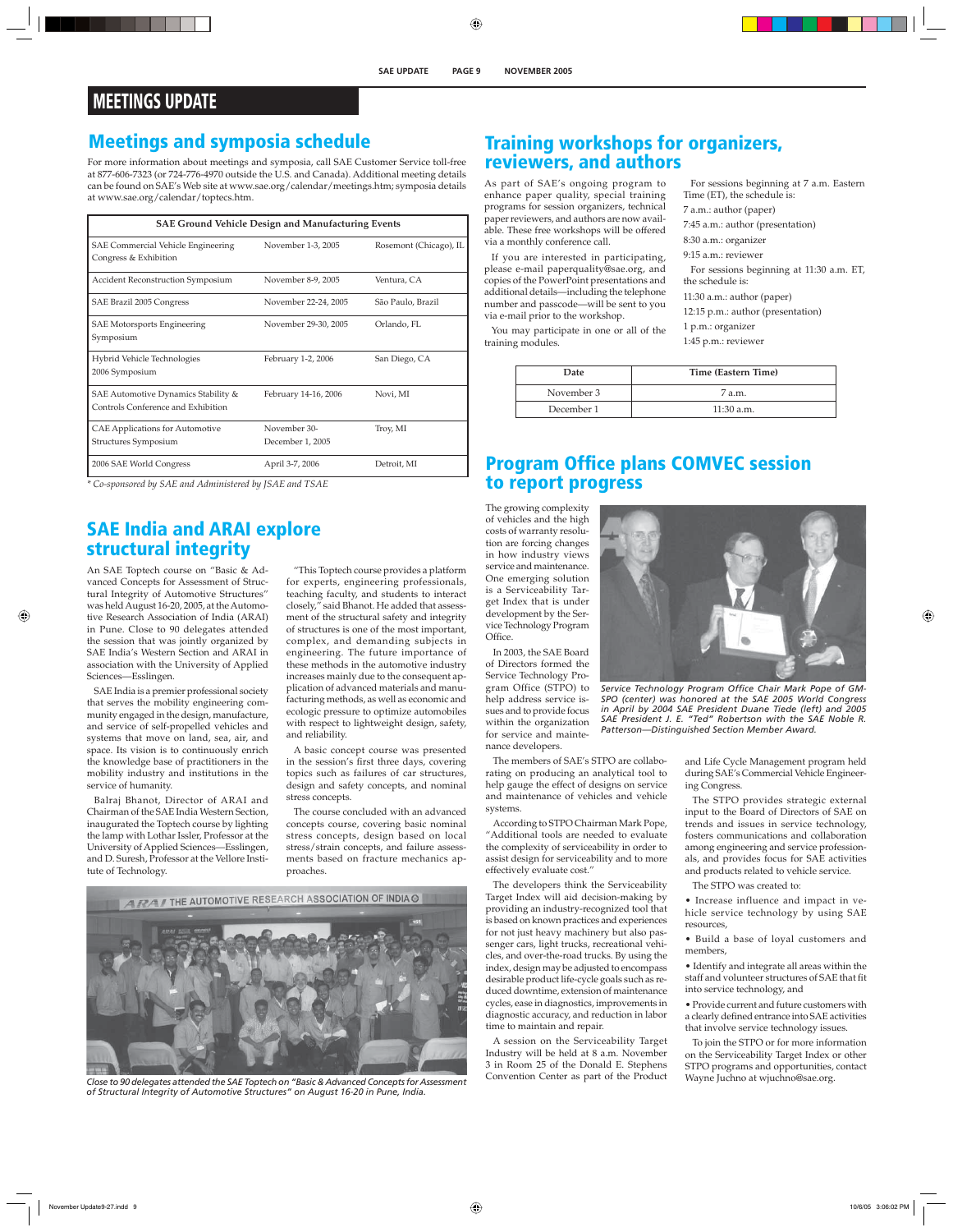# **MEETINGS UPDATE**

# **Meetings and symposia schedule**

For more information about meetings and symposia, call SAE Customer Service toll-free at 877-606-7323 (or 724-776-4970 outside the U.S. and Canada). Additional meeting details can be found on SAE's Web site at www.sae.org/calendar/meetings.htm; symposia details at www.sae.org/calendar/toptecs.htm.

| <b>SAE Ground Vehicle Design and Manufacturing Events</b>                 |                                  |                        |  |
|---------------------------------------------------------------------------|----------------------------------|------------------------|--|
| SAE Commercial Vehicle Engineering<br>Congress & Exhibition               | November 1-3, 2005               | Rosemont (Chicago), IL |  |
| <b>Accident Reconstruction Symposium</b>                                  | November 8-9, 2005               | Ventura, CA            |  |
| SAE Brazil 2005 Congress                                                  | November 22-24, 2005             | São Paulo, Brazil      |  |
| SAE Motorsports Engineering<br>Symposium                                  | November 29-30, 2005             | Orlando, FL            |  |
| Hybrid Vehicle Technologies<br>2006 Symposium                             | February 1-2, 2006               | San Diego, CA          |  |
| SAE Automotive Dynamics Stability &<br>Controls Conference and Exhibition | February 14-16, 2006             | Novi, MI               |  |
| CAE Applications for Automotive<br>Structures Symposium                   | November 30-<br>December 1, 2005 | Troy, MI               |  |
| 2006 SAE World Congress                                                   | April 3-7, 2006                  | Detroit, MI            |  |

*\* Co-sponsored by SAE and Administered by JSAE and TSAE*

## **SAE India and ARAI explore structural integrity**

An SAE Toptech course on "Basic & Advanced Concepts for Assessment of Structural Integrity of Automotive Structures" was held August 16-20, 2005, at the Automotive Research Association of India (ARAI) in Pune. Close to 90 delegates attended the session that was jointly organized by SAE India's Western Section and ARAI in association with the University of Applied Sciences—Esslingen.

SAE India is a premier professional society that serves the mobility engineering community engaged in the design, manufacture, and service of self-propelled vehicles and systems that move on land, sea, air, and space. Its vision is to continuously enrich the knowledge base of practitioners in the mobility industry and institutions in the service of humanity.

Balraj Bhanot, Director of ARAI and Chairman of the SAE India Western Section, inaugurated the Toptech course by lighting the lamp with Lothar Issler, Professor at the University of Applied Sciences—Esslingen, and D. Suresh, Professor at the Vellore Institute of Technology.

"This Toptech course provides a platform for experts, engineering professionals, teaching faculty, and students to interact closely," said Bhanot. He added that assessment of the structural safety and integrity of structures is one of the most important, complex, and demanding subjects in engineering. The future importance of these methods in the automotive industry increases mainly due to the consequent application of advanced materials and manufacturing methods, as well as economic and ecologic pressure to optimize automobiles with respect to lightweight design, safety, and reliability.

A basic concept course was presented in the session's first three days, covering topics such as failures of car structures, design and safety concepts, and nominal stress concepts.

The course concluded with an advanced concepts course, covering basic nominal stress concepts, design based on local stress/strain concepts, and failure assessments based on fracture mechanics approaches.



*Close to 90 delegates attended the SAE Toptech on "Basic & Advanced Concepts for Assessment of Structural Integrity of Automotive Structures" on August 16-20 in Pune, India.* 

## **Training workshops for organizers, reviewers, and authors**

As part of SAE's ongoing program to enhance paper quality, special training programs for session organizers, technical paper reviewers, and authors are now available. These free workshops will be offered via a monthly conference call.

If you are interested in participating, please e-mail paperquality@sae.org, and copies of the PowerPoint presentations and additional details—including the telephone number and passcode—will be sent to you via e-mail prior to the workshop.

You may participate in one or all of the training modules.

|                             | For sessions beginning at 7 a.m. Eastern |  |
|-----------------------------|------------------------------------------|--|
| Time (ET), the schedule is: |                                          |  |

7 a.m.: author (paper)

7:45 a.m.: author (presentation)

8:30 a.m.: organizer

9:15 a.m.: reviewer

For sessions beginning at 11:30 a.m. ET, the schedule is:

11:30 a.m.: author (paper)

12:15 p.m.: author (presentation)

1 p.m.: organizer

1:45 p.m.: reviewer

| Date       | Time (Eastern Time) |  |
|------------|---------------------|--|
| November 3 | 7 a.m.              |  |
| December 1 | $11:30$ a.m.        |  |

# **Program Office plans COMVEC session to report progress**

The growing complexity of vehicles and the high costs of warranty resolution are forcing changes in how industry views service and maintenance. One emerging solution is a Serviceability Target Index that is under development by the Service Technology Program Office.

In 2003, the SAE Board of Directors formed the Service Technology Program Office (STPO) to help address service issues and to provide focus within the organization for service and maintenance developers.

The members of SAE's STPO are collaborating on producing an analytical tool to help gauge the effect of designs on service and maintenance of vehicles and vehicle systems.

According to STPO Chairman Mark Pope, "Additional tools are needed to evaluate the complexity of serviceability in order to assist design for serviceability and to more effectively evaluate cost."

The developers think the Serviceability Target Index will aid decision-making by providing an industry-recognized tool that is based on known practices and experiences for not just heavy machinery but also passenger cars, light trucks, recreational vehicles, and over-the-road trucks. By using the index, design may be adjusted to encompass desirable product life-cycle goals such as reduced downtime, extension of maintenance cycles, ease in diagnostics, improvements in diagnostic accuracy, and reduction in labor time to maintain and repair.

A session on the Serviceability Target Industry will be held at 8 a.m. November 3 in Room 25 of the Donald E. Stephens Convention Center as part of the Product



Service Technology Program Office Chair Mark Pope of GM-*SPO (center) was honored at the SAE 2005 World Congress in April by 2004 SAE President Duane Tiede (left) and 2005 SAE President J. E. "Ted" Robertson with the SAE Noble R. Patterson—Distinguished Section Member Award.*

and Life Cycle Management program held during SAE's Commercial Vehicle Engineering Congress.

The STPO provides strategic external input to the Board of Directors of SAE on trends and issues in service technology, fosters communications and collaboration among engineering and service professionals, and provides focus for SAE activities and products related to vehicle service.

The STPO was created to:

• Increase influence and impact in vehicle service technology by using SAE resources,

• Build a base of loyal customers and members,

• Identify and integrate all areas within the staff and volunteer structures of SAE that fit into service technology, and

• Provide current and future customers with a clearly defined entrance into SAE activities that involve service technology issues.

To join the STPO or for more information on the Serviceability Target Index or other STPO programs and opportunities, contact Wayne Juchno at wjuchno@sae.org.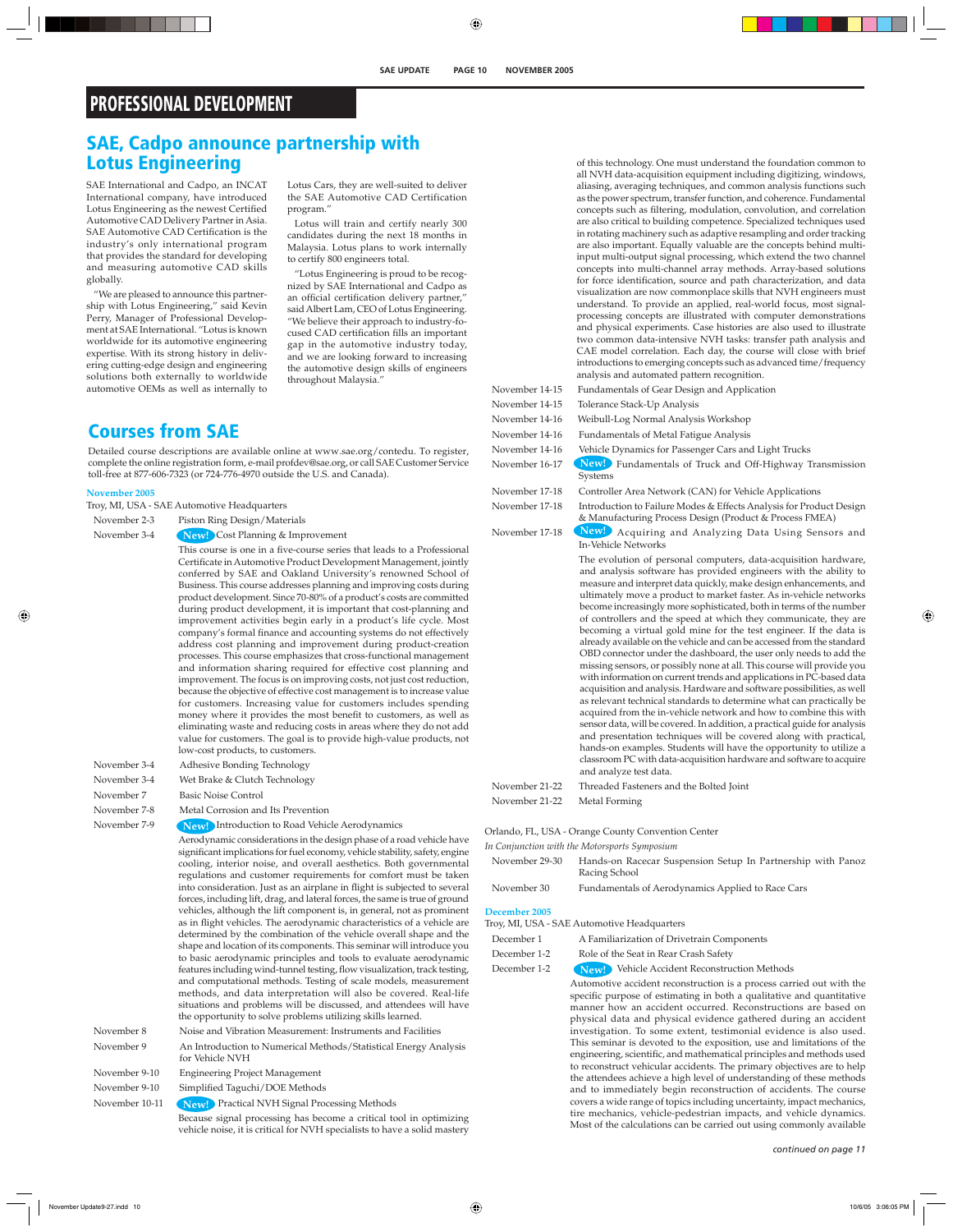# **PROFESSIONAL DEVELOPMENT**

## **SAE, Cadpo announce partnership with Lotus Engineering**

SAE International and Cadpo, an INCAT International company, have introduced Lotus Engineering as the newest Certified Automotive CAD Delivery Partner in Asia. SAE Automotive CAD Certification is the industry's only international program that provides the standard for developing and measuring automotive CAD skills globally.

"We are pleased to announce this partnership with Lotus Engineering," said Kevin Perry, Manager of Professional Development at SAE International. "Lotus is known worldwide for its automotive engineering expertise. With its strong history in delivering cutting-edge design and engineering solutions both externally to worldwide automotive OEMs as well as internally to

**Courses from SAE**

Lotus Cars, they are well-suited to deliver the SAE Automotive CAD Certification program."

Lotus will train and certify nearly 300 candidates during the next 18 months in Malaysia. Lotus plans to work internally to certify 800 engineers total.

"Lotus Engineering is proud to be recognized by SAE International and Cadpo as an official certification delivery partner," said Albert Lam, CEO of Lotus Engineering. "We believe their approach to industry-focused CAD certification fills an important gap in the automotive industry today, and we are looking forward to increasing the automotive design skills of engineers throughout Malaysia."

Detailed course descriptions are available online at www.sae.org/contedu. To register, complete the online registration form, e-mail profdev@sae.org, or call SAE Customer Service toll-free at 877-606-7323 (or 724-776-4970 outside the U.S. and Canada).

#### $\mathbf N$ o

| ovember 2005 |                                                                                                                                                                                                                                                                                                                                                                                                                                                                                                                                                                                                                                                                                                                                                                                                                                                                                                                                                                                                                                                                                                                                                                                                                                                                          |
|--------------|--------------------------------------------------------------------------------------------------------------------------------------------------------------------------------------------------------------------------------------------------------------------------------------------------------------------------------------------------------------------------------------------------------------------------------------------------------------------------------------------------------------------------------------------------------------------------------------------------------------------------------------------------------------------------------------------------------------------------------------------------------------------------------------------------------------------------------------------------------------------------------------------------------------------------------------------------------------------------------------------------------------------------------------------------------------------------------------------------------------------------------------------------------------------------------------------------------------------------------------------------------------------------|
|              | oy, MI, USA - SAE Automotive Headquarters                                                                                                                                                                                                                                                                                                                                                                                                                                                                                                                                                                                                                                                                                                                                                                                                                                                                                                                                                                                                                                                                                                                                                                                                                                |
| November 2-3 | Piston Ring Design/Materials                                                                                                                                                                                                                                                                                                                                                                                                                                                                                                                                                                                                                                                                                                                                                                                                                                                                                                                                                                                                                                                                                                                                                                                                                                             |
| November 3-4 | <b>New!</b> Cost Planning & Improvement                                                                                                                                                                                                                                                                                                                                                                                                                                                                                                                                                                                                                                                                                                                                                                                                                                                                                                                                                                                                                                                                                                                                                                                                                                  |
|              | This course is one in a five-course series that leads to a Professional<br>Certificate in Automotive Product Development Management, jointly<br>conferred by SAE and Oakland University's renowned School of<br>Business. This course addresses planning and improving costs during<br>product development. Since 70-80% of a product's costs are committed<br>during product development, it is important that cost-planning and<br>improvement activities begin early in a product's life cycle. Most<br>company's formal finance and accounting systems do not effectively<br>address cost planning and improvement during product-creation<br>processes. This course emphasizes that cross-functional management<br>and information sharing required for effective cost planning and<br>improvement. The focus is on improving costs, not just cost reduction,<br>because the objective of effective cost management is to increase value<br>for customers. Increasing value for customers includes spending<br>money where it provides the most benefit to customers, as well as<br>eliminating waste and reducing costs in areas where they do not add<br>value for customers. The goal is to provide high-value products, not<br>low-cost products, to customers. |
| November 3-4 | Adhesive Bonding Technology                                                                                                                                                                                                                                                                                                                                                                                                                                                                                                                                                                                                                                                                                                                                                                                                                                                                                                                                                                                                                                                                                                                                                                                                                                              |
| November 3-4 | Wet Brake & Clutch Technology                                                                                                                                                                                                                                                                                                                                                                                                                                                                                                                                                                                                                                                                                                                                                                                                                                                                                                                                                                                                                                                                                                                                                                                                                                            |
| November 7   | <b>Basic Noise Control</b>                                                                                                                                                                                                                                                                                                                                                                                                                                                                                                                                                                                                                                                                                                                                                                                                                                                                                                                                                                                                                                                                                                                                                                                                                                               |
|              |                                                                                                                                                                                                                                                                                                                                                                                                                                                                                                                                                                                                                                                                                                                                                                                                                                                                                                                                                                                                                                                                                                                                                                                                                                                                          |

November 7-8 Metal Corrosion and Its Prevention

November 7-9 **New!** Introduction to Road Vehicle Aerodynamics

 Aerodynamic considerations in the design phase of a road vehicle have significant implications for fuel economy, vehicle stability, safety, engine cooling, interior noise, and overall aesthetics. Both governmental regulations and customer requirements for comfort must be taken into consideration. Just as an airplane in flight is subjected to several forces, including lift, drag, and lateral forces, the same is true of ground vehicles, although the lift component is, in general, not as prominent as in flight vehicles. The aerodynamic characteristics of a vehicle are determined by the combination of the vehicle overall shape and the shape and location of its components. This seminar will introduce you to basic aerodynamic principles and tools to evaluate aerodynamic features including wind-tunnel testing, flow visualization, track testing, and computational methods. Testing of scale models, measurement methods, and data interpretation will also be covered. Real-life situations and problems will be discussed, and attendees will have the opportunity to solve problems utilizing skills learned. November 8 Noise and Vibration Measurement: Instruments and Facilities

November 9 An Introduction to Numerical Methods/Statistical Energy Analysis for Vehicle NVH

November 9-10 Engineering Project Management

November 9-10 Simplified Taguchi/DOE Methods

November 10-11 **New!** Practical NVH Signal Processing Methods

 Because signal processing has become a critical tool in optimizing vehicle noise, it is critical for NVH specialists to have a solid mastery

of this technology. One must understand the foundation common to all NVH data-acquisition equipment including digitizing, windows, aliasing, averaging techniques, and common analysis functions such as the power spectrum, transfer function, and coherence. Fundamental concepts such as filtering, modulation, convolution, and correlation are also critical to building competence. Specialized techniques used in rotating machinery such as adaptive resampling and order tracking are also important. Equally valuable are the concepts behind multiinput multi-output signal processing, which extend the two channel concepts into multi-channel array methods. Array-based solutions for force identification, source and path characterization, and data visualization are now commonplace skills that NVH engineers must understand. To provide an applied, real-world focus, most signalprocessing concepts are illustrated with computer demonstrations and physical experiments. Case histories are also used to illustrate two common data-intensive NVH tasks: transfer path analysis and CAE model correlation. Each day, the course will close with brief introductions to emerging concepts such as advanced time/frequency analysis and automated pattern recognition.

November 17-18 New! Acquiring and Analyzing Data Using Sensors and In-Vehicle Networks

November 14-15 Fundamentals of Gear Design and Application

November 14-15 Tolerance Stack-Up Analysis

November 14-16 Weibull-Log Normal Analysis Workshop

November 14-16 Fundamentals of Metal Fatigue Analysis

November 14-16 Vehicle Dynamics for Passenger Cars and Light Trucks

November 16-17 New! Fundamentals of Truck and Off-Highway Transmission Systems

November 17-18 Controller Area Network (CAN) for Vehicle Applications

November 17-18 Introduction to Failure Modes & Effects Analysis for Product Design & Manufacturing Process Design (Product & Process FMEA)

 The evolution of personal computers, data-acquisition hardware, and analysis software has provided engineers with the ability to measure and interpret data quickly, make design enhancements, and ultimately move a product to market faster. As in-vehicle networks become increasingly more sophisticated, both in terms of the number of controllers and the speed at which they communicate, they are becoming a virtual gold mine for the test engineer. If the data is already available on the vehicle and can be accessed from the standard OBD connector under the dashboard, the user only needs to add the missing sensors, or possibly none at all. This course will provide you with information on current trends and applications in PC-based data acquisition and analysis. Hardware and software possibilities, as well as relevant technical standards to determine what can practically be acquired from the in-vehicle network and how to combine this with sensor data, will be covered. In addition, a practical guide for analysis and presentation techniques will be covered along with practical, hands-on examples. Students will have the opportunity to utilize a classroom PC with data-acquisition hardware and software to acquire and analyze test data.

November 21-22 Threaded Fasteners and the Bolted Joint November 21-22 Metal Forming

Orlando, FL, USA - Orange County Convention Center

*In Conjunction with the Motorsports Symposium* 

November 29-30 Hands-on Racecar Suspension Setup In Partnership with Panoz Racing School November 30 Fundamentals of Aerodynamics Applied to Race Cars

| EVOVULLOU OU | T andamentals of Activa Mannes Applied to Race Cars |  |  |  |
|--------------|-----------------------------------------------------|--|--|--|
|              |                                                     |  |  |  |

#### **December 2005**

Troy, MI, USA - SAE Automotive Headquarters

December 1 A Familiarization of Drivetrain Components

December 1-2 Role of the Seat in Rear Crash Safety

December 1-2 **New!** Vehicle Accident Reconstruction Methods

 Automotive accident reconstruction is a process carried out with the specific purpose of estimating in both a qualitative and quantitative manner how an accident occurred. Reconstructions are based on physical data and physical evidence gathered during an accident investigation. To some extent, testimonial evidence is also used. This seminar is devoted to the exposition, use and limitations of the engineering, scientific, and mathematical principles and methods used to reconstruct vehicular accidents. The primary objectives are to help the attendees achieve a high level of understanding of these methods and to immediately begin reconstruction of accidents. The course covers a wide range of topics including uncertainty, impact mechanics, tire mechanics, vehicle-pedestrian impacts, and vehicle dynamics. Most of the calculations can be carried out using commonly available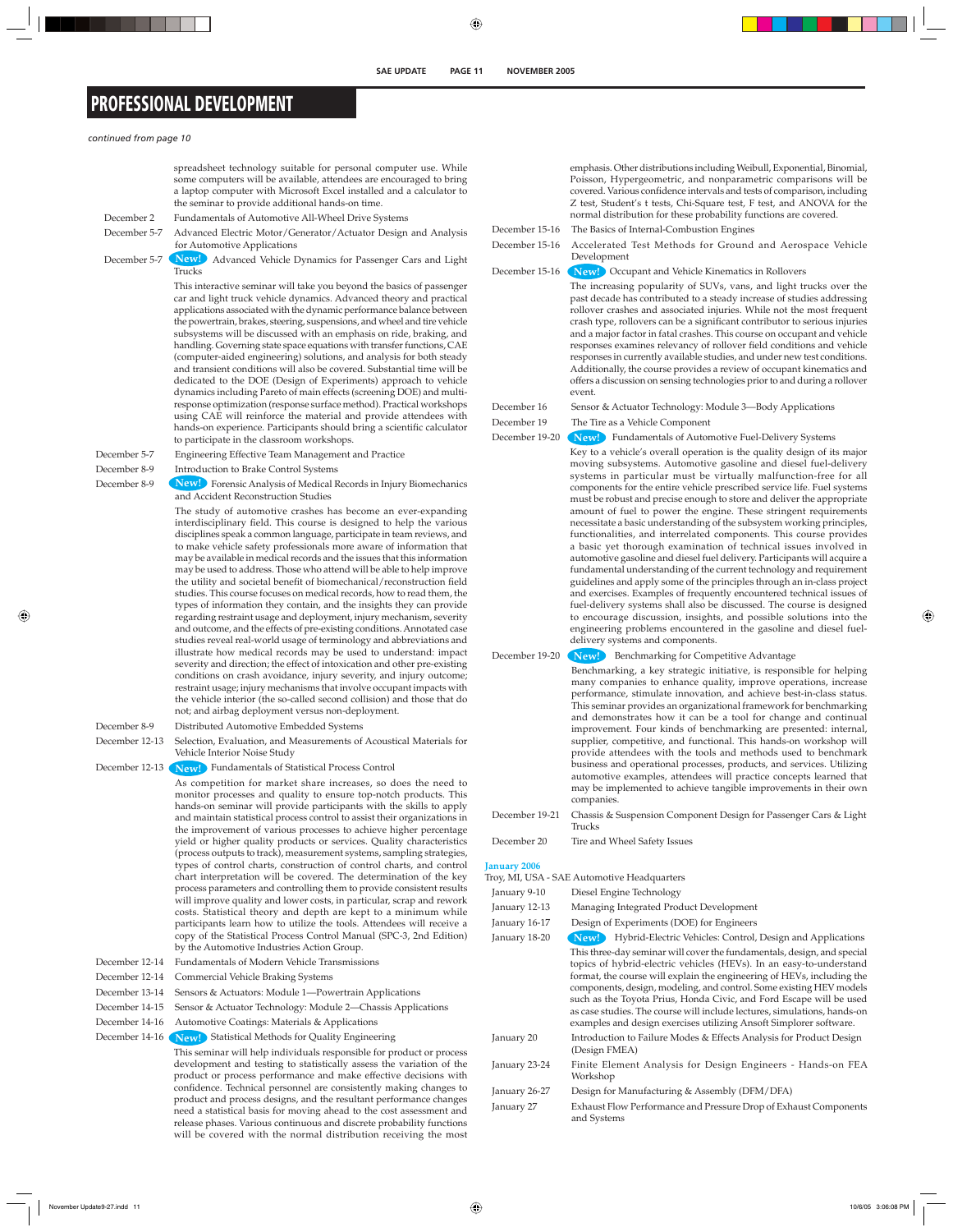# **PROFESSIONAL DEVELOPMENT**

#### *continued from page 10*

|                | spreadsheet technology suitable for personal computer use. While                                                                                                                                                                                                                                                                                                                                                                                                                                                                                                                                                                                                                                                                                                                                                                                                                                 |                     | emphasis. Other distributions including Weibull, Exponential, Binomial,                                                                                                                                                                                                                                                                                                                                                                                                                                                                                                                                                                                                                                                                                                                                                                              |
|----------------|--------------------------------------------------------------------------------------------------------------------------------------------------------------------------------------------------------------------------------------------------------------------------------------------------------------------------------------------------------------------------------------------------------------------------------------------------------------------------------------------------------------------------------------------------------------------------------------------------------------------------------------------------------------------------------------------------------------------------------------------------------------------------------------------------------------------------------------------------------------------------------------------------|---------------------|------------------------------------------------------------------------------------------------------------------------------------------------------------------------------------------------------------------------------------------------------------------------------------------------------------------------------------------------------------------------------------------------------------------------------------------------------------------------------------------------------------------------------------------------------------------------------------------------------------------------------------------------------------------------------------------------------------------------------------------------------------------------------------------------------------------------------------------------------|
|                | some computers will be available, attendees are encouraged to bring<br>a laptop computer with Microsoft Excel installed and a calculator to<br>the seminar to provide additional hands-on time.                                                                                                                                                                                                                                                                                                                                                                                                                                                                                                                                                                                                                                                                                                  |                     | Poisson, Hypergeometric, and nonparametric comparisons will be<br>covered. Various confidence intervals and tests of comparison, including<br>Z test, Student's t tests, Chi-Square test, F test, and ANOVA for the                                                                                                                                                                                                                                                                                                                                                                                                                                                                                                                                                                                                                                  |
| December 2     | Fundamentals of Automotive All-Wheel Drive Systems                                                                                                                                                                                                                                                                                                                                                                                                                                                                                                                                                                                                                                                                                                                                                                                                                                               |                     | normal distribution for these probability functions are covered.                                                                                                                                                                                                                                                                                                                                                                                                                                                                                                                                                                                                                                                                                                                                                                                     |
| December 5-7   | Advanced Electric Motor/Generator/Actuator Design and Analysis                                                                                                                                                                                                                                                                                                                                                                                                                                                                                                                                                                                                                                                                                                                                                                                                                                   | December 15-16      | The Basics of Internal-Combustion Engines                                                                                                                                                                                                                                                                                                                                                                                                                                                                                                                                                                                                                                                                                                                                                                                                            |
| December 5-7   | for Automotive Applications<br>Newl Advanced Vehicle Dynamics for Passenger Cars and Light                                                                                                                                                                                                                                                                                                                                                                                                                                                                                                                                                                                                                                                                                                                                                                                                       | December 15-16      | Accelerated Test Methods for Ground and Aerospace Vehicle<br>Development                                                                                                                                                                                                                                                                                                                                                                                                                                                                                                                                                                                                                                                                                                                                                                             |
|                | Trucks<br>This interactive seminar will take you beyond the basics of passenger                                                                                                                                                                                                                                                                                                                                                                                                                                                                                                                                                                                                                                                                                                                                                                                                                  | December 15-16      | New! Occupant and Vehicle Kinematics in Rollovers                                                                                                                                                                                                                                                                                                                                                                                                                                                                                                                                                                                                                                                                                                                                                                                                    |
|                | car and light truck vehicle dynamics. Advanced theory and practical<br>applications associated with the dynamic performance balance between<br>the powertrain, brakes, steering, suspensions, and wheel and tire vehicle<br>subsystems will be discussed with an emphasis on ride, braking, and<br>handling. Governing state space equations with transfer functions, CAE<br>(computer-aided engineering) solutions, and analysis for both steady<br>and transient conditions will also be covered. Substantial time will be<br>dedicated to the DOE (Design of Experiments) approach to vehicle<br>dynamics including Pareto of main effects (screening DOE) and multi-                                                                                                                                                                                                                         |                     | The increasing popularity of SUVs, vans, and light trucks over the<br>past decade has contributed to a steady increase of studies addressing<br>rollover crashes and associated injuries. While not the most frequent<br>crash type, rollovers can be a significant contributor to serious injuries<br>and a major factor in fatal crashes. This course on occupant and vehicle<br>responses examines relevancy of rollover field conditions and vehicle<br>responses in currently available studies, and under new test conditions.<br>Additionally, the course provides a review of occupant kinematics and<br>offers a discussion on sensing technologies prior to and during a rollover<br>event.                                                                                                                                                |
|                | response optimization (response surface method). Practical workshops                                                                                                                                                                                                                                                                                                                                                                                                                                                                                                                                                                                                                                                                                                                                                                                                                             | December 16         | Sensor & Actuator Technology: Module 3-Body Applications                                                                                                                                                                                                                                                                                                                                                                                                                                                                                                                                                                                                                                                                                                                                                                                             |
|                | using CAE will reinforce the material and provide attendees with<br>hands-on experience. Participants should bring a scientific calculator                                                                                                                                                                                                                                                                                                                                                                                                                                                                                                                                                                                                                                                                                                                                                       | December 19         | The Tire as a Vehicle Component                                                                                                                                                                                                                                                                                                                                                                                                                                                                                                                                                                                                                                                                                                                                                                                                                      |
|                | to participate in the classroom workshops.                                                                                                                                                                                                                                                                                                                                                                                                                                                                                                                                                                                                                                                                                                                                                                                                                                                       | December 19-20      | New! Fundamentals of Automotive Fuel-Delivery Systems                                                                                                                                                                                                                                                                                                                                                                                                                                                                                                                                                                                                                                                                                                                                                                                                |
| December 5-7   | Engineering Effective Team Management and Practice                                                                                                                                                                                                                                                                                                                                                                                                                                                                                                                                                                                                                                                                                                                                                                                                                                               |                     | Key to a vehicle's overall operation is the quality design of its major                                                                                                                                                                                                                                                                                                                                                                                                                                                                                                                                                                                                                                                                                                                                                                              |
| December 8-9   | Introduction to Brake Control Systems                                                                                                                                                                                                                                                                                                                                                                                                                                                                                                                                                                                                                                                                                                                                                                                                                                                            |                     | moving subsystems. Automotive gasoline and diesel fuel-delivery<br>systems in particular must be virtually malfunction-free for all                                                                                                                                                                                                                                                                                                                                                                                                                                                                                                                                                                                                                                                                                                                  |
| December 8-9   | New Forensic Analysis of Medical Records in Injury Biomechanics<br>and Accident Reconstruction Studies                                                                                                                                                                                                                                                                                                                                                                                                                                                                                                                                                                                                                                                                                                                                                                                           |                     | components for the entire vehicle prescribed service life. Fuel systems<br>must be robust and precise enough to store and deliver the appropriate                                                                                                                                                                                                                                                                                                                                                                                                                                                                                                                                                                                                                                                                                                    |
|                | The study of automotive crashes has become an ever-expanding<br>interdisciplinary field. This course is designed to help the various<br>disciplines speak a common language, participate in team reviews, and<br>to make vehicle safety professionals more aware of information that<br>may be available in medical records and the issues that this information<br>may be used to address. Those who attend will be able to help improve<br>the utility and societal benefit of biomechanical/reconstruction field<br>studies. This course focuses on medical records, how to read them, the<br>types of information they contain, and the insights they can provide<br>regarding restraint usage and deployment, injury mechanism, severity<br>and outcome, and the effects of pre-existing conditions. Annotated case<br>studies reveal real-world usage of terminology and abbreviations and |                     | amount of fuel to power the engine. These stringent requirements<br>necessitate a basic understanding of the subsystem working principles,<br>functionalities, and interrelated components. This course provides<br>a basic yet thorough examination of technical issues involved in<br>automotive gasoline and diesel fuel delivery. Participants will acquire a<br>fundamental understanding of the current technology and requirement<br>guidelines and apply some of the principles through an in-class project<br>and exercises. Examples of frequently encountered technical issues of<br>fuel-delivery systems shall also be discussed. The course is designed<br>to encourage discussion, insights, and possible solutions into the<br>engineering problems encountered in the gasoline and diesel fuel-<br>delivery systems and components. |
|                | illustrate how medical records may be used to understand: impact<br>severity and direction; the effect of intoxication and other pre-existing                                                                                                                                                                                                                                                                                                                                                                                                                                                                                                                                                                                                                                                                                                                                                    | December 19-20      | Benchmarking for Competitive Advantage<br>New!)                                                                                                                                                                                                                                                                                                                                                                                                                                                                                                                                                                                                                                                                                                                                                                                                      |
|                | conditions on crash avoidance, injury severity, and injury outcome;<br>restraint usage; injury mechanisms that involve occupant impacts with<br>the vehicle interior (the so-called second collision) and those that do<br>not; and airbag deployment versus non-deployment.                                                                                                                                                                                                                                                                                                                                                                                                                                                                                                                                                                                                                     |                     | Benchmarking, a key strategic initiative, is responsible for helping<br>many companies to enhance quality, improve operations, increase<br>performance, stimulate innovation, and achieve best-in-class status.<br>This seminar provides an organizational framework for benchmarking<br>and demonstrates how it can be a tool for change and continual                                                                                                                                                                                                                                                                                                                                                                                                                                                                                              |
| December 8-9   | Distributed Automotive Embedded Systems                                                                                                                                                                                                                                                                                                                                                                                                                                                                                                                                                                                                                                                                                                                                                                                                                                                          |                     | improvement. Four kinds of benchmarking are presented: internal,                                                                                                                                                                                                                                                                                                                                                                                                                                                                                                                                                                                                                                                                                                                                                                                     |
| December 12-13 | Selection, Evaluation, and Measurements of Acoustical Materials for<br>Vehicle Interior Noise Study                                                                                                                                                                                                                                                                                                                                                                                                                                                                                                                                                                                                                                                                                                                                                                                              |                     | supplier, competitive, and functional. This hands-on workshop will<br>provide attendees with the tools and methods used to benchmark                                                                                                                                                                                                                                                                                                                                                                                                                                                                                                                                                                                                                                                                                                                 |
| December 12-13 | New! Fundamentals of Statistical Process Control                                                                                                                                                                                                                                                                                                                                                                                                                                                                                                                                                                                                                                                                                                                                                                                                                                                 |                     | business and operational processes, products, and services. Utilizing<br>automotive examples, attendees will practice concepts learned that                                                                                                                                                                                                                                                                                                                                                                                                                                                                                                                                                                                                                                                                                                          |
|                | As competition for market share increases, so does the need to<br>monitor processes and quality to ensure top-notch products. This<br>hands-on seminar will provide participants with the skills to apply                                                                                                                                                                                                                                                                                                                                                                                                                                                                                                                                                                                                                                                                                        |                     | may be implemented to achieve tangible improvements in their own<br>companies.                                                                                                                                                                                                                                                                                                                                                                                                                                                                                                                                                                                                                                                                                                                                                                       |
|                | and maintain statistical process control to assist their organizations in<br>the improvement of various processes to achieve higher percentage                                                                                                                                                                                                                                                                                                                                                                                                                                                                                                                                                                                                                                                                                                                                                   | December 19-21      | Chassis & Suspension Component Design for Passenger Cars & Light<br>Trucks                                                                                                                                                                                                                                                                                                                                                                                                                                                                                                                                                                                                                                                                                                                                                                           |
|                | yield or higher quality products or services. Quality characteristics<br>(process outputs to track), measurement systems, sampling strategies,                                                                                                                                                                                                                                                                                                                                                                                                                                                                                                                                                                                                                                                                                                                                                   | December 20         | Tire and Wheel Safety Issues                                                                                                                                                                                                                                                                                                                                                                                                                                                                                                                                                                                                                                                                                                                                                                                                                         |
|                | types of control charts, construction of control charts, and control<br>chart interpretation will be covered. The determination of the key                                                                                                                                                                                                                                                                                                                                                                                                                                                                                                                                                                                                                                                                                                                                                       | <b>January 2006</b> | Troy, MI, USA - SAE Automotive Headquarters                                                                                                                                                                                                                                                                                                                                                                                                                                                                                                                                                                                                                                                                                                                                                                                                          |
|                | process parameters and controlling them to provide consistent results                                                                                                                                                                                                                                                                                                                                                                                                                                                                                                                                                                                                                                                                                                                                                                                                                            | January 9-10        | Diesel Engine Technology                                                                                                                                                                                                                                                                                                                                                                                                                                                                                                                                                                                                                                                                                                                                                                                                                             |
|                | will improve quality and lower costs, in particular, scrap and rework<br>costs. Statistical theory and depth are kept to a minimum while                                                                                                                                                                                                                                                                                                                                                                                                                                                                                                                                                                                                                                                                                                                                                         | January 12-13       | Managing Integrated Product Development                                                                                                                                                                                                                                                                                                                                                                                                                                                                                                                                                                                                                                                                                                                                                                                                              |
|                | participants learn how to utilize the tools. Attendees will receive a                                                                                                                                                                                                                                                                                                                                                                                                                                                                                                                                                                                                                                                                                                                                                                                                                            | January 16-17       | Design of Experiments (DOE) for Engineers                                                                                                                                                                                                                                                                                                                                                                                                                                                                                                                                                                                                                                                                                                                                                                                                            |
|                | copy of the Statistical Process Control Manual (SPC-3, 2nd Edition)<br>by the Automotive Industries Action Group.                                                                                                                                                                                                                                                                                                                                                                                                                                                                                                                                                                                                                                                                                                                                                                                | January 18-20       | Hybrid-Electric Vehicles: Control, Design and Applications<br>New!)<br>This three-day seminar will cover the fundamentals, design, and special                                                                                                                                                                                                                                                                                                                                                                                                                                                                                                                                                                                                                                                                                                       |
| December 12-14 | Fundamentals of Modern Vehicle Transmissions                                                                                                                                                                                                                                                                                                                                                                                                                                                                                                                                                                                                                                                                                                                                                                                                                                                     |                     | topics of hybrid-electric vehicles (HEVs). In an easy-to-understand                                                                                                                                                                                                                                                                                                                                                                                                                                                                                                                                                                                                                                                                                                                                                                                  |
| December 12-14 | Commercial Vehicle Braking Systems                                                                                                                                                                                                                                                                                                                                                                                                                                                                                                                                                                                                                                                                                                                                                                                                                                                               |                     | format, the course will explain the engineering of HEVs, including the<br>components, design, modeling, and control. Some existing HEV models                                                                                                                                                                                                                                                                                                                                                                                                                                                                                                                                                                                                                                                                                                        |
| December 13-14 | Sensors & Actuators: Module 1-Powertrain Applications                                                                                                                                                                                                                                                                                                                                                                                                                                                                                                                                                                                                                                                                                                                                                                                                                                            |                     | such as the Toyota Prius, Honda Civic, and Ford Escape will be used                                                                                                                                                                                                                                                                                                                                                                                                                                                                                                                                                                                                                                                                                                                                                                                  |
| December 14-15 | Sensor & Actuator Technology: Module 2-Chassis Applications<br>December 14-16 Automotive Coatings: Materials & Applications                                                                                                                                                                                                                                                                                                                                                                                                                                                                                                                                                                                                                                                                                                                                                                      |                     | as case studies. The course will include lectures, simulations, hands-on<br>examples and design exercises utilizing Ansoft Simplorer software.                                                                                                                                                                                                                                                                                                                                                                                                                                                                                                                                                                                                                                                                                                       |
| December 14-16 | New! Statistical Methods for Quality Engineering                                                                                                                                                                                                                                                                                                                                                                                                                                                                                                                                                                                                                                                                                                                                                                                                                                                 | January 20          | Introduction to Failure Modes & Effects Analysis for Product Design<br>(Design FMEA)                                                                                                                                                                                                                                                                                                                                                                                                                                                                                                                                                                                                                                                                                                                                                                 |
|                | This seminar will help individuals responsible for product or process<br>development and testing to statistically assess the variation of the<br>product or process performance and make effective decisions with                                                                                                                                                                                                                                                                                                                                                                                                                                                                                                                                                                                                                                                                                | January 23-24       | Finite Element Analysis for Design Engineers - Hands-on FEA<br>Workshop                                                                                                                                                                                                                                                                                                                                                                                                                                                                                                                                                                                                                                                                                                                                                                              |
|                | confidence. Technical personnel are consistently making changes to                                                                                                                                                                                                                                                                                                                                                                                                                                                                                                                                                                                                                                                                                                                                                                                                                               | January 26-27       | Design for Manufacturing & Assembly (DFM/DFA)                                                                                                                                                                                                                                                                                                                                                                                                                                                                                                                                                                                                                                                                                                                                                                                                        |
|                | product and process designs, and the resultant performance changes                                                                                                                                                                                                                                                                                                                                                                                                                                                                                                                                                                                                                                                                                                                                                                                                                               |                     |                                                                                                                                                                                                                                                                                                                                                                                                                                                                                                                                                                                                                                                                                                                                                                                                                                                      |

need a statistical basis for moving ahead to the cost assessment and release phases. Various continuous and discrete probability functions will be covered with the normal distribution receiving the most

Assembly (DFM/DFA) January 27 Exhaust Flow Performance and Pressure Drop of Exhaust Components and Systems